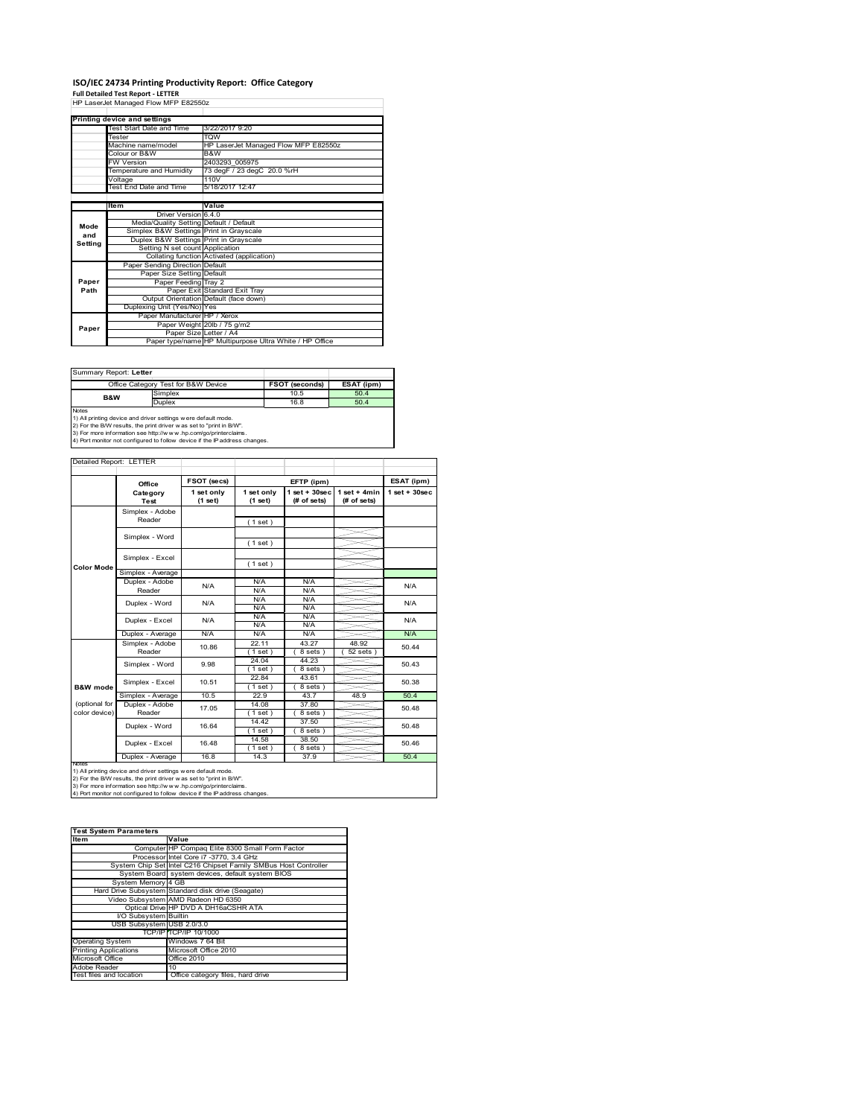# **ISO/IEC 24734 Printing Productivity Report: Office Category Full Detailed Test Report ‐ LETTER** HP LaserJet Managed Flow MFP E82550z

|         | Printing device and settings            |                                                         |  |
|---------|-----------------------------------------|---------------------------------------------------------|--|
|         | <b>Test Start Date and Time</b>         | 3/22/2017 9:20                                          |  |
|         | Tester                                  | <b>TOW</b>                                              |  |
|         | Machine name/model                      | HP LaserJet Managed Flow MFP E82550z                    |  |
|         | Colour or B&W                           | B&W                                                     |  |
|         | <b>FW Version</b>                       | 2403293 005975                                          |  |
|         | Temperature and Humidity                | 73 degF / 23 degC 20.0 %rH                              |  |
|         | Voltage                                 | 110V                                                    |  |
|         | Test End Date and Time                  | 5/18/2017 12:47                                         |  |
|         |                                         |                                                         |  |
|         | <b>Item</b>                             | Value                                                   |  |
|         | Driver Version 6.4.0                    |                                                         |  |
| Mode    | Media/Quality Setting Default / Default |                                                         |  |
| and     | Simplex B&W Settings Print in Grayscale |                                                         |  |
| Setting | Duplex B&W Settings Print in Grayscale  |                                                         |  |
|         | Setting N set count Application         |                                                         |  |
|         |                                         | Collating function Activated (application)              |  |
|         | Paper Sending Direction Default         |                                                         |  |
|         | Paper Size Setting Default              |                                                         |  |
| Paper   | Paper Feeding Tray 2                    |                                                         |  |
| Path    |                                         | Paper Exit Standard Exit Tray                           |  |
|         |                                         | Output Orientation Default (face down)                  |  |
|         | Duplexing Unit (Yes/No) Yes             |                                                         |  |
|         | Paper Manufacturer HP / Xerox           |                                                         |  |
| Paper   |                                         | Paper Weight 20lb / 75 g/m2                             |  |
|         | Paper Size Letter / A4                  |                                                         |  |
|         |                                         | Paper type/name HP Multipurpose Ultra White / HP Office |  |

Summary Report: **Letter**

| Office Category Test for B&W Device                                        |                                                               | <b>FSOT (seconds)</b> | ESAT (ipm) |  |  |  |
|----------------------------------------------------------------------------|---------------------------------------------------------------|-----------------------|------------|--|--|--|
| <b>B&amp;W</b>                                                             | Simplex                                                       | 10.5                  | 50.4       |  |  |  |
|                                                                            | <b>Duplex</b>                                                 | 16.8                  | 50.4       |  |  |  |
| <b>Notes</b>                                                               |                                                               |                       |            |  |  |  |
|                                                                            | 1) All printing device and driver settings were default mode. |                       |            |  |  |  |
| 2) For the B/W results, the print driver was set to "print in B/W".        |                                                               |                       |            |  |  |  |
| 3) For more information see http://www.hp.com/go/printerclaims.            |                                                               |                       |            |  |  |  |
| 4) Port monitor not configured to follow device if the IP address changes. |                                                               |                       |            |  |  |  |

#### Detailed Report: LETTER

|                                | Office                    | FSOT (secs)           |                       | EFTP (ipm)                     |                               | ESAT (ipm)        |
|--------------------------------|---------------------------|-----------------------|-----------------------|--------------------------------|-------------------------------|-------------------|
|                                | Category<br>Test          | 1 set only<br>(1 set) | 1 set only<br>(1 set) | $1$ set + 30sec<br>(# of sets) | $1$ set + 4min<br>(# of sets) | $1$ set $+30$ sec |
|                                | Simplex - Adobe<br>Reader |                       | (1 set)               |                                |                               |                   |
|                                | Simplex - Word            |                       | (1 set)               |                                |                               |                   |
| <b>Color Mode</b>              | Simplex - Excel           |                       | (1 set)               |                                |                               |                   |
|                                | Simplex - Average         |                       |                       |                                |                               |                   |
|                                | Duplex - Adobe<br>Reader  | N/A                   | N/A<br>N/A            | N/A<br>N/A                     |                               | N/A               |
|                                | Duplex - Word             | N/A                   | N/A<br>N/A            | N/A<br>N/A                     |                               | N/A               |
|                                | Duplex - Excel            | N/A                   | N/A<br>N/A            | N/A<br>N/A                     |                               | N/A               |
|                                | Duplex - Average          | N/A                   | N/A                   | N/A                            |                               | N/A               |
|                                | Simplex - Adobe<br>Reader | 10.86                 | 22.11<br>$1$ set)     | 43.27<br>8 sets)               | 48.92<br>$52$ sets $)$        | 50.44             |
|                                | Simplex - Word            | 9.98                  | 24.04<br>1 set)       | 44.23<br>8 sets)               |                               | 50.43             |
| <b>B&amp;W</b> mode            | Simplex - Excel           | 10.51                 | 22.84<br>$1$ set)     | 43.61<br>8 sets)               |                               | 50.38             |
|                                | Simplex - Average         | 10.5                  | 22.9                  | 43.7                           | 48.9                          | 50.4              |
| (optional for<br>color device) | Duplex - Adobe<br>Reader  | 17.05                 | 14.08<br>$1$ set $)$  | 37.80<br>8 sets)               |                               | 50.48             |
|                                | Duplex - Word             | 16.64                 | 14.42<br>$1$ set)     | 37.50<br>8 sets)               |                               | 50.48             |
|                                | Duplex - Excel            | 16.48                 | 14.58<br>$1$ set)     | 38.50<br>8 sets)               |                               | 50.46             |
|                                | Duplex - Average          | 16.8                  | 14.3                  | 37.9                           |                               | 50.4              |

Notes<br>1) All printing device and driver settings were default mode.<br>2) For the B/W results, the print driver was set to "print in B/W".<br>3) For more information see http://www.hp.com/go/printerclaims.<br>4) Por more informati

| <b>Test System Parameters</b> |                                                                 |  |  |
|-------------------------------|-----------------------------------------------------------------|--|--|
| Item                          | Value                                                           |  |  |
|                               | Computer HP Compaq Elite 8300 Small Form Factor                 |  |  |
|                               | Processor Intel Core i7 -3770, 3.4 GHz                          |  |  |
|                               | System Chip Set Intel C216 Chipset Family SMBus Host Controller |  |  |
|                               | System Board system devices, default system BIOS                |  |  |
| System Memory 4 GB            |                                                                 |  |  |
|                               | Hard Drive Subsystem Standard disk drive (Seagate)              |  |  |
|                               | Video Subsystem AMD Radeon HD 6350                              |  |  |
|                               | Optical Drive HP DVD A DH16aCSHR ATA                            |  |  |
| I/O Subsystem Builtin         |                                                                 |  |  |
| USB Subsystem USB 2.0/3.0     |                                                                 |  |  |
|                               | TCP/IPITCP/IP 10/1000                                           |  |  |
| <b>Operating System</b>       | Windows 7 64 Bit                                                |  |  |
| <b>Printing Applications</b>  | Microsoft Office 2010                                           |  |  |
| Microsoft Office              | Office 2010                                                     |  |  |
| Adobe Reader                  | 10                                                              |  |  |
| Test files and location       | Office category files, hard drive                               |  |  |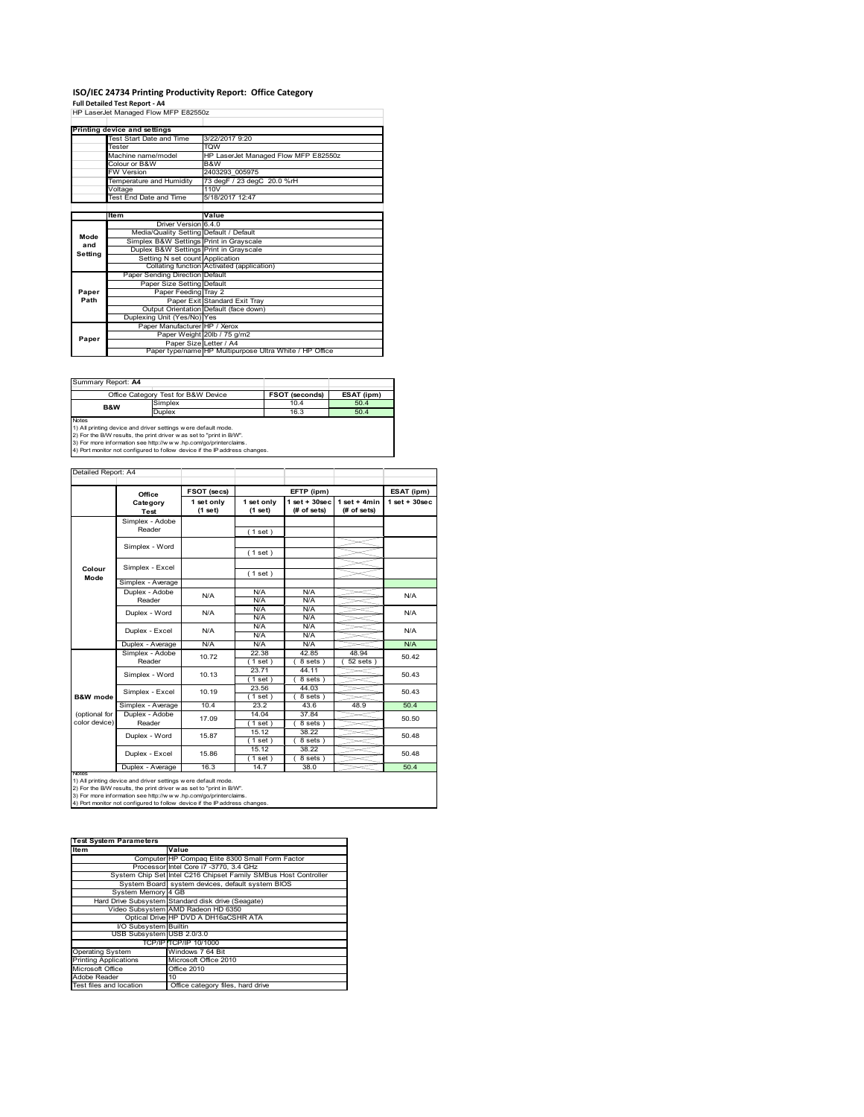# **ISO/IEC 24734 Printing Productivity Report: Office Category Full Detailed Test Report ‐ A4** HP LaserJet Managed Flow MFP E82550z

|         | The case of managed Flow MFF E620002    |                                                         |
|---------|-----------------------------------------|---------------------------------------------------------|
|         |                                         |                                                         |
|         | Printing device and settings            |                                                         |
|         | Test Start Date and Time                | 3/22/2017 9:20                                          |
|         | Tester                                  | <b>TOW</b>                                              |
|         | Machine name/model                      | HP LaserJet Managed Flow MFP E82550z                    |
|         | Colour or B&W                           | B&W                                                     |
|         | <b>FW Version</b>                       | 2403293 005975                                          |
|         | Temperature and Humidity                | 73 degF / 23 degC 20.0 %rH                              |
|         | Voltage                                 | 110V                                                    |
|         | Test End Date and Time                  | 5/18/2017 12:47                                         |
|         |                                         |                                                         |
|         | Item                                    | Value                                                   |
|         | Driver Version 6.4.0                    |                                                         |
| Mode    | Media/Quality Setting Default / Default |                                                         |
| and     | Simplex B&W Settings Print in Grayscale |                                                         |
| Setting | Duplex B&W Settings Print in Grayscale  |                                                         |
|         | Setting N set count Application         |                                                         |
|         |                                         | Collating function Activated (application)              |
|         | Paper Sending Direction Default         |                                                         |
|         | Paper Size Setting Default              |                                                         |
| Paper   | Paper Feeding Tray 2                    |                                                         |
| Path    |                                         | Paper Exit Standard Exit Tray                           |
|         |                                         | Output Orientation Default (face down)                  |
|         | Duplexing Unit (Yes/No) Yes             |                                                         |
|         | Paper Manufacturer HP / Xerox           |                                                         |
| Paper   |                                         | Paper Weight 20lb / 75 g/m2                             |
|         |                                         | Paper Size Letter / A4                                  |
|         |                                         | Paper type/name HP Multipurpose Ultra White / HP Office |

| Summary Report: A4                                                            |                                                                     |                |            |  |  |
|-------------------------------------------------------------------------------|---------------------------------------------------------------------|----------------|------------|--|--|
|                                                                               | Office Category Test for B&W Device                                 | FSOT (seconds) | ESAT (ipm) |  |  |
| <b>B&amp;W</b>                                                                | Simplex                                                             | 10.4           | 50.4       |  |  |
|                                                                               | <b>Duplex</b>                                                       | 16.3           | 50.4       |  |  |
| <b>Notes</b><br>1) All printing device and driver settings were default mode. |                                                                     |                |            |  |  |
|                                                                               | 2) For the B/W results, the print driver was set to "print in B/W". |                |            |  |  |

2) For the B/W results, the print driver w as set to "print in B/W".<br>3) For more information see http://w w w.hp.com/go/printerclaims.<br>4) Port monitor not configured to follow device if the IP address changes.

|                     | Office                  | FSOT (secs)           |                       | EFTP (ipm)                        |                               | ESAT (ipm)         |
|---------------------|-------------------------|-----------------------|-----------------------|-----------------------------------|-------------------------------|--------------------|
|                     | Category<br><b>Test</b> | 1 set only<br>(1 set) | 1 set only<br>(1 set) | $1$ set + $30$ sec<br>(# of sets) | $1$ set + 4min<br>(# of sets) | $1$ set + $30$ sec |
|                     | Simplex - Adobe         |                       |                       |                                   |                               |                    |
|                     | Reader                  |                       | (1 set)               |                                   |                               |                    |
|                     | Simplex - Word          |                       |                       |                                   |                               |                    |
|                     |                         |                       | (1 set)               |                                   |                               |                    |
|                     | Simplex - Excel         |                       |                       |                                   |                               |                    |
| Colour<br>Mode      |                         |                       | (1 set)               |                                   |                               |                    |
|                     | Simplex - Average       |                       |                       |                                   |                               |                    |
|                     | Duplex - Adobe          | N/A                   | N/A                   | N/A                               |                               | N/A                |
|                     | Reader                  |                       | N/A                   | N/A                               |                               |                    |
|                     | Duplex - Word           | N/A                   | N/A                   | N/A                               |                               | N/A<br>N/A         |
|                     |                         |                       | N/A                   | N/A                               |                               |                    |
|                     | Duplex - Excel          | N/A                   | N/A                   | N/A                               |                               |                    |
|                     |                         |                       | N/A                   | N/A                               |                               |                    |
|                     | Duplex - Average        | N/A                   | N/A                   | N/A                               |                               | N/A                |
|                     | Simplex - Adobe         | 10.72                 | 22.38                 | 42.85                             | 48.94                         | 50.42              |
|                     | Reader                  |                       | (1 set)               | 8 sets)                           | $52$ sets $)$                 |                    |
|                     | Simplex - Word          | 10.13                 | 23.71                 | 44.11                             |                               | 50.43              |
|                     |                         |                       | (1 set )              | $8$ sets $)$                      |                               |                    |
|                     | Simplex - Excel         | 10.19                 | 23.56                 | 44.03                             |                               | 50.43              |
| <b>B&amp;W</b> mode |                         |                       | (1 set)               | 8 sets)                           |                               |                    |
|                     | Simplex - Average       | 10.4                  | 23.2                  | 43.6                              | 48.9                          | 50.4               |
| (optional for       | Duplex - Adobe          | 17.09                 | 14.04                 | 37.84                             |                               | 50.50              |
| color device)       | Reader                  |                       | (1 set)               | 8 sets)                           |                               |                    |
|                     | Duplex - Word           | 15.87                 | 15.12                 | 38.22                             |                               | 50.48              |
|                     |                         |                       | (1 set)               | 8 sets)                           |                               |                    |
|                     | Duplex - Excel          | 15.86                 | 15.12                 | 38.22                             |                               | 50.48              |
|                     |                         |                       | $1$ set)              | 8 sets)                           |                               |                    |
| <b>IVOIES</b>       | Duplex - Average        | 16.3                  | 14.7                  | 38.0                              |                               | 50.4               |

| <b>Test System Parameters</b> |                                                                 |  |  |
|-------------------------------|-----------------------------------------------------------------|--|--|
| ltem                          | Value                                                           |  |  |
|                               | Computer HP Compaq Elite 8300 Small Form Factor                 |  |  |
|                               | Processor Intel Core i7 -3770, 3.4 GHz                          |  |  |
|                               | System Chip Set Intel C216 Chipset Family SMBus Host Controller |  |  |
|                               | System Board system devices, default system BIOS                |  |  |
| System Memory 4 GB            |                                                                 |  |  |
|                               | Hard Drive Subsystem Standard disk drive (Seagate)              |  |  |
|                               | Video Subsystem AMD Radeon HD 6350                              |  |  |
|                               | Optical Drive HP DVD A DH16aCSHR ATA                            |  |  |
| I/O Subsystem Builtin         |                                                                 |  |  |
| USB Subsystem USB 2.0/3.0     |                                                                 |  |  |
|                               | TCP/IPITCP/IP 10/1000                                           |  |  |
| <b>Operating System</b>       | Windows 7 64 Bit                                                |  |  |
| <b>Printing Applications</b>  | Microsoft Office 2010                                           |  |  |
| Microsoft Office              | Office 2010                                                     |  |  |
| Adobe Reader                  | 10                                                              |  |  |
| Test files and location       | Office category files, hard drive                               |  |  |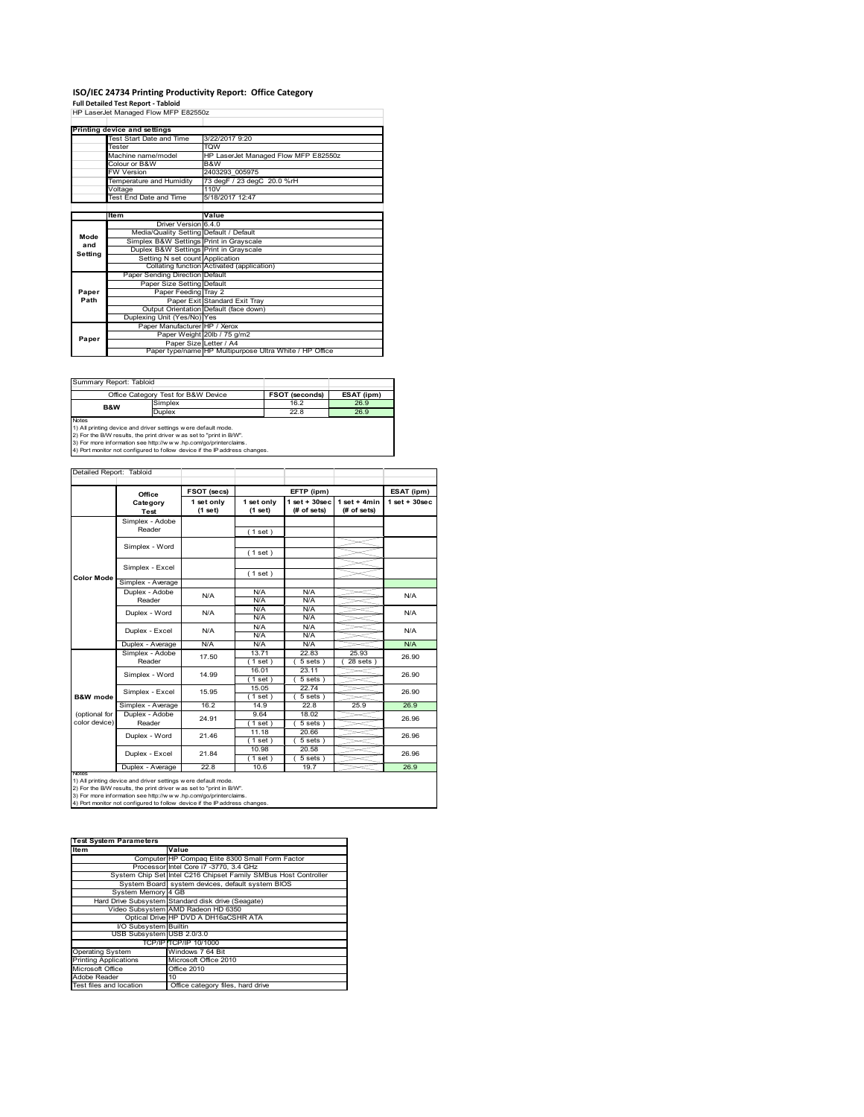# **ISO/IEC 24734 Printing Productivity Report: Office Category Full Detailed Test Report ‐ Tabloid** HP LaserJet Managed Flow MFP E82550z

|         | The case of managed Flow MFF E620002    |                                                         |
|---------|-----------------------------------------|---------------------------------------------------------|
|         |                                         |                                                         |
|         | Printing device and settings            |                                                         |
|         | Test Start Date and Time                | 3/22/2017 9:20                                          |
|         | Tester                                  | <b>TOW</b>                                              |
|         | Machine name/model                      | HP LaserJet Managed Flow MFP E82550z                    |
|         | Colour or B&W                           | B&W                                                     |
|         | <b>FW Version</b>                       | 2403293 005975                                          |
|         | Temperature and Humidity                | 73 degF / 23 degC 20.0 %rH                              |
|         | Voltage                                 | 110V                                                    |
|         | Test End Date and Time                  | 5/18/2017 12:47                                         |
|         |                                         |                                                         |
|         | Item                                    | Value                                                   |
|         | Driver Version 6.4.0                    |                                                         |
| Mode    | Media/Quality Setting Default / Default |                                                         |
| and     | Simplex B&W Settings Print in Grayscale |                                                         |
| Setting | Duplex B&W Settings Print in Grayscale  |                                                         |
|         | Setting N set count Application         |                                                         |
|         |                                         | Collating function Activated (application)              |
|         | Paper Sending Direction Default         |                                                         |
|         | Paper Size Setting Default              |                                                         |
| Paper   | Paper Feeding Tray 2                    |                                                         |
| Path    |                                         | Paper Exit Standard Exit Tray                           |
|         |                                         | Output Orientation Default (face down)                  |
|         | Duplexing Unit (Yes/No) Yes             |                                                         |
|         | Paper Manufacturer HP / Xerox           |                                                         |
| Paper   |                                         | Paper Weight 20lb / 75 g/m2                             |
|         |                                         | Paper Size Letter / A4                                  |
|         |                                         | Paper type/name HP Multipurpose Ultra White / HP Office |

| Summary Report: Tabloid                                                                                                                                                                                                                                                                               |               |                       |            |
|-------------------------------------------------------------------------------------------------------------------------------------------------------------------------------------------------------------------------------------------------------------------------------------------------------|---------------|-----------------------|------------|
| Office Category Test for B&W Device                                                                                                                                                                                                                                                                   |               | <b>FSOT (seconds)</b> | ESAT (ipm) |
| <b>B&amp;W</b>                                                                                                                                                                                                                                                                                        | Simplex       | 16.2                  | 26.9       |
|                                                                                                                                                                                                                                                                                                       | <b>Duplex</b> | 22.8                  | 26.9       |
| <b>Notes</b><br>1) All printing device and driver settings were default mode.<br>2) For the B/W results, the print driver was set to "print in B/W".<br>3) For more information see http://www.hp.com/go/printerclaims.<br>4) Port monitor not configured to follow device if the IP address changes. |               |                       |            |

|                     | FSOT (secs)<br>Office     |                       | EFTP (ipm)            |                                    |                               | ESAT (ipm)         |
|---------------------|---------------------------|-----------------------|-----------------------|------------------------------------|-------------------------------|--------------------|
|                     | Category<br>Test          | 1 set only<br>(1 set) | 1 set only<br>(1 set) | $1$ set + $30$ sec<br>$#$ of sets) | $1$ set + 4min<br>(# of sets) | $1$ set + $30$ sec |
|                     | Simplex - Adobe           |                       |                       |                                    |                               |                    |
|                     | Reader                    |                       | (1 set)               |                                    |                               |                    |
|                     |                           |                       |                       |                                    |                               |                    |
|                     | Simplex - Word            |                       | (1 set)               |                                    |                               |                    |
|                     |                           |                       |                       |                                    |                               |                    |
|                     | Simplex - Excel           |                       | (1 set)               |                                    |                               |                    |
| Color Mode          | Simplex - Average         |                       |                       |                                    |                               |                    |
|                     | Duplex - Adobe            |                       | N/A                   | N/A                                |                               | N/A                |
|                     | Reader                    | N/A                   | N/A                   | N/A                                |                               |                    |
|                     |                           | N/A                   | N/A                   | N/A                                |                               |                    |
|                     | Duplex - Word             |                       | N/A                   | N/A                                |                               | N/A                |
|                     | Duplex - Excel            | N/A                   | N/A                   | N/A                                |                               | N/A                |
|                     |                           |                       | N/A                   | N/A                                |                               |                    |
|                     | Duplex - Average          | N/A                   | N/A                   | N/A                                |                               | N/A                |
|                     | Simplex - Adobe<br>Reader | 17.50                 | 13.71                 | 22.83                              | 25.93                         | 26.90<br>26.90     |
|                     |                           |                       | $1$ set)              | 5 sets                             | $28$ sets                     |                    |
|                     | Simplex - Word            | 14.99                 | 16.01                 | 23.11                              |                               |                    |
|                     |                           |                       | $1$ set)              | $5 sets$ )                         |                               |                    |
|                     | Simplex - Excel           | 15.95                 | 15.05                 | 22.74                              |                               | 26.90              |
| <b>B&amp;W</b> mode |                           |                       | 1 set                 | $5 sets$ )                         |                               |                    |
|                     | Simplex - Average         | 16.2                  | 14.9                  | 22.8                               | 25.9                          | 26.9               |
| (optional for       | Duplex - Adobe            | 24.91                 | 9.64                  | 18.02                              |                               | 26.96<br>26.96     |
| color device)       | Reader                    |                       | $1$ set)              | $5 sets$ )                         |                               |                    |
|                     | Duplex - Word             | 21.46                 | 11.18                 | 20.66                              |                               |                    |
|                     |                           |                       | $1$ set)              | 5 sets)                            |                               |                    |
|                     | Duplex - Excel            | 21.84                 | 10.98                 | 20.58                              |                               | 26.96              |
|                     |                           |                       | (1 set )              | 5 sets)                            |                               |                    |
| <b>IVOIES</b>       | Duplex - Average          | 22.8                  | 10.6                  | 19.7                               |                               | 26.9               |

| <b>Test System Parameters</b>                                   |  |  |  |
|-----------------------------------------------------------------|--|--|--|
| Value                                                           |  |  |  |
| Computer HP Compaq Elite 8300 Small Form Factor                 |  |  |  |
| Processor Intel Core i7 -3770, 3.4 GHz                          |  |  |  |
| System Chip Set Intel C216 Chipset Family SMBus Host Controller |  |  |  |
| System Board system devices, default system BIOS                |  |  |  |
| System Memory 4 GB                                              |  |  |  |
| Hard Drive Subsystem Standard disk drive (Seagate)              |  |  |  |
| Video Subsystem AMD Radeon HD 6350                              |  |  |  |
| Optical Drive HP DVD A DH16aCSHR ATA                            |  |  |  |
| I/O Subsystem Builtin                                           |  |  |  |
| USB Subsystem USB 2.0/3.0                                       |  |  |  |
| TCP/IPITCP/IP 10/1000                                           |  |  |  |
| Windows 7 64 Bit                                                |  |  |  |
| Microsoft Office 2010                                           |  |  |  |
| Office 2010                                                     |  |  |  |
| 10                                                              |  |  |  |
| Office category files, hard drive                               |  |  |  |
|                                                                 |  |  |  |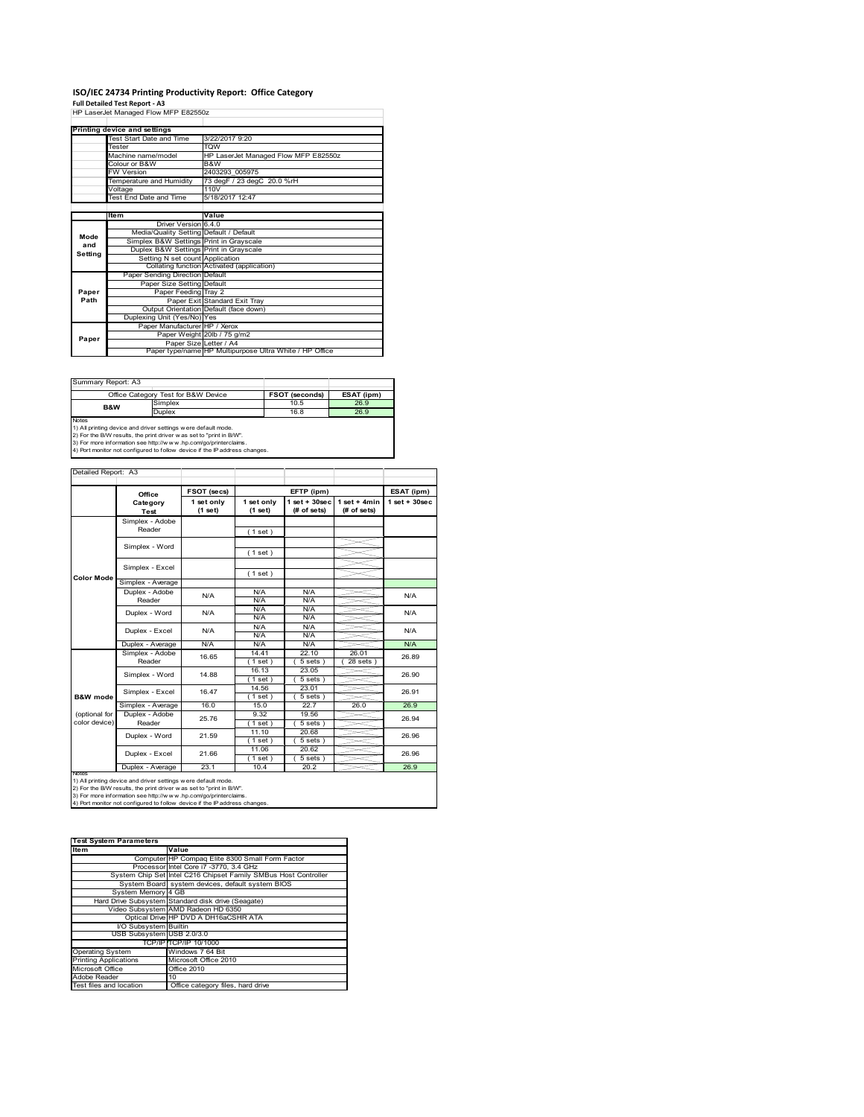# **ISO/IEC 24734 Printing Productivity Report: Office Category Full Detailed Test Report ‐ A3** HP LaserJet Managed Flow MFP E82550z

| HP Laserjet Manaded Flow MFP E825502 |                                         |                                                         |  |  |
|--------------------------------------|-----------------------------------------|---------------------------------------------------------|--|--|
|                                      |                                         |                                                         |  |  |
|                                      | Printing device and settings            |                                                         |  |  |
|                                      | <b>Test Start Date and Time</b>         | 3/22/2017 9:20                                          |  |  |
|                                      | Tester                                  | <b>TOW</b>                                              |  |  |
|                                      | Machine name/model                      | HP LaserJet Managed Flow MFP E82550z                    |  |  |
|                                      | Colour or B&W                           | B&W                                                     |  |  |
|                                      | <b>FW Version</b>                       | 2403293 005975                                          |  |  |
|                                      | Temperature and Humidity                | 73 degF / 23 degC 20.0 %rH                              |  |  |
|                                      | Voltage                                 | 110V                                                    |  |  |
|                                      | Test End Date and Time                  | 5/18/2017 12:47                                         |  |  |
|                                      |                                         |                                                         |  |  |
|                                      | Item                                    | Value                                                   |  |  |
|                                      | Driver Version 6.4.0                    |                                                         |  |  |
| Mode                                 | Media/Quality Setting Default / Default |                                                         |  |  |
| and                                  | Simplex B&W Settings Print in Grayscale |                                                         |  |  |
| Setting                              | Duplex B&W Settings Print in Grayscale  |                                                         |  |  |
|                                      | Setting N set count Application         |                                                         |  |  |
|                                      |                                         | Collating function Activated (application)              |  |  |
|                                      | Paper Sending Direction Default         |                                                         |  |  |
|                                      | Paper Size Setting Default              |                                                         |  |  |
| Paper                                | Paper Feeding Tray 2                    |                                                         |  |  |
| Path                                 |                                         | Paper Exit Standard Exit Tray                           |  |  |
|                                      |                                         | Output Orientation Default (face down)                  |  |  |
|                                      | Duplexing Unit (Yes/No) Yes             |                                                         |  |  |
|                                      | Paper Manufacturer HP / Xerox           |                                                         |  |  |
| Paper                                |                                         | Paper Weight 20lb / 75 g/m2                             |  |  |
|                                      |                                         | Paper Size Letter / A4                                  |  |  |
|                                      |                                         | Paper type/name HP Multipurpose Ultra White / HP Office |  |  |

| Summary Report: A3                                                                                                                                   |                                     |                |            |  |  |
|------------------------------------------------------------------------------------------------------------------------------------------------------|-------------------------------------|----------------|------------|--|--|
|                                                                                                                                                      | Office Category Test for B&W Device | FSOT (seconds) | ESAT (ipm) |  |  |
| <b>B&amp;W</b>                                                                                                                                       | Simplex                             | 10.5           | 26.9       |  |  |
|                                                                                                                                                      | <b>Duplex</b>                       | 16.8           | 26.9       |  |  |
| <b>Notes</b><br>1) All printing device and driver settings were default mode.<br>2) For the B/W results, the print driver was set to "print in B/W". |                                     |                |            |  |  |

2) For the B/W results, the print driver w as set to "print in B/W".<br>3) For more information see http://w w w.hp.com/go/printerclaims.<br>4) Port monitor not configured to follow device if the IP address changes.

|                     | Office                                                        | FSOT (secs)           | EFTP (ipm)            |                                   |                                | ESAT (ipm)         |  |
|---------------------|---------------------------------------------------------------|-----------------------|-----------------------|-----------------------------------|--------------------------------|--------------------|--|
|                     | Category<br><b>Test</b>                                       | 1 set only<br>(1 set) | 1 set only<br>(1 set) | $1$ set + $30$ sec<br>(# of sets) | $1 set + 4 min$<br>(# of sets) | $1$ set + $30$ sec |  |
|                     | Simplex - Adobe                                               |                       |                       |                                   |                                |                    |  |
|                     | Reader                                                        |                       | (1 set)               |                                   |                                |                    |  |
|                     |                                                               |                       |                       |                                   |                                |                    |  |
|                     | Simplex - Word                                                |                       | (1 set)               |                                   |                                |                    |  |
|                     | Simplex - Excel                                               |                       |                       |                                   |                                |                    |  |
| <b>Color Mode</b>   |                                                               |                       | (1 set)               |                                   |                                |                    |  |
|                     | Simplex - Average                                             |                       |                       |                                   |                                |                    |  |
|                     | Duplex - Adobe                                                | N/A                   | N/A                   | N/A                               |                                | N/A                |  |
|                     | Reader                                                        |                       | N/A                   | N/A                               |                                |                    |  |
|                     | Duplex - Word                                                 | N/A<br>N/A            | N/A                   | N/A                               |                                | N/A                |  |
|                     |                                                               |                       | N/A                   | N/A                               |                                |                    |  |
|                     | Duplex - Excel                                                |                       | N/A                   | N/A                               |                                | N/A                |  |
|                     |                                                               |                       | N/A                   | N/A                               |                                |                    |  |
|                     | Duplex - Average                                              | N/A                   | N/A                   | N/A                               |                                | N/A                |  |
|                     | Simplex - Adobe                                               | 16.65                 | 14.41                 | 22.10                             | 26.01                          | 26.89              |  |
|                     | Reader                                                        |                       | $1$ set)              | $5 sets$ )                        | $28$ sets $)$                  |                    |  |
|                     | Simplex - Word                                                | 14.88                 | 16.13                 | 23.05                             |                                | 26.90              |  |
|                     |                                                               |                       | $1$ set)<br>14.56     | $\overline{5}$ sets)<br>23.01     |                                |                    |  |
| <b>B&amp;W</b> mode | Simplex - Excel                                               | 16.47                 |                       |                                   |                                | 26.91              |  |
|                     |                                                               | 16.0                  | (1 set)<br>15.0       | $5 sets$ )<br>22.7                | 26.0                           | 26.9               |  |
| (optional for       | Simplex - Average<br>Duplex - Adobe                           |                       | 9.32                  | 19.56                             |                                |                    |  |
| color device)       | Reader                                                        | 25.76                 | $1$ set)              | $5 sets$ )                        |                                | 26.94              |  |
|                     |                                                               |                       | 11.10                 | 20.68                             |                                |                    |  |
|                     | Duplex - Word                                                 | 21.59                 | (1 set)               | $5 sets$ )                        |                                | 26.96              |  |
|                     |                                                               |                       | 11.06                 | 20.62                             |                                |                    |  |
|                     | Duplex - Excel                                                | 21.66                 | $1$ set)              | $5 sets$ )                        |                                | 26.96              |  |
|                     | Duplex - Average                                              | 23.1                  | 10.4                  | 20.2                              |                                | 26.9               |  |
| <b>IVOIES</b>       | 1) All printing device and driver settings were default mode. |                       |                       |                                   |                                |                    |  |

| <b>Test System Parameters</b> |                                                                 |
|-------------------------------|-----------------------------------------------------------------|
| ltem                          | Value                                                           |
|                               | Computer HP Compaq Elite 8300 Small Form Factor                 |
|                               | Processor Intel Core i7 -3770, 3.4 GHz                          |
|                               | System Chip Set Intel C216 Chipset Family SMBus Host Controller |
|                               | System Board system devices, default system BIOS                |
| System Memory 4 GB            |                                                                 |
|                               | Hard Drive Subsystem Standard disk drive (Seagate)              |
|                               | Video Subsystem AMD Radeon HD 6350                              |
|                               | Optical Drive HP DVD A DH16aCSHR ATA                            |
| I/O Subsystem Builtin         |                                                                 |
| USB Subsystem USB 2.0/3.0     |                                                                 |
|                               | TCP/IPITCP/IP 10/1000                                           |
| <b>Operating System</b>       | Windows 7 64 Bit                                                |
| <b>Printing Applications</b>  | Microsoft Office 2010                                           |
| Microsoft Office              | Office 2010                                                     |
| Adobe Reader                  | 10                                                              |
| Test files and location       | Office category files, hard drive                               |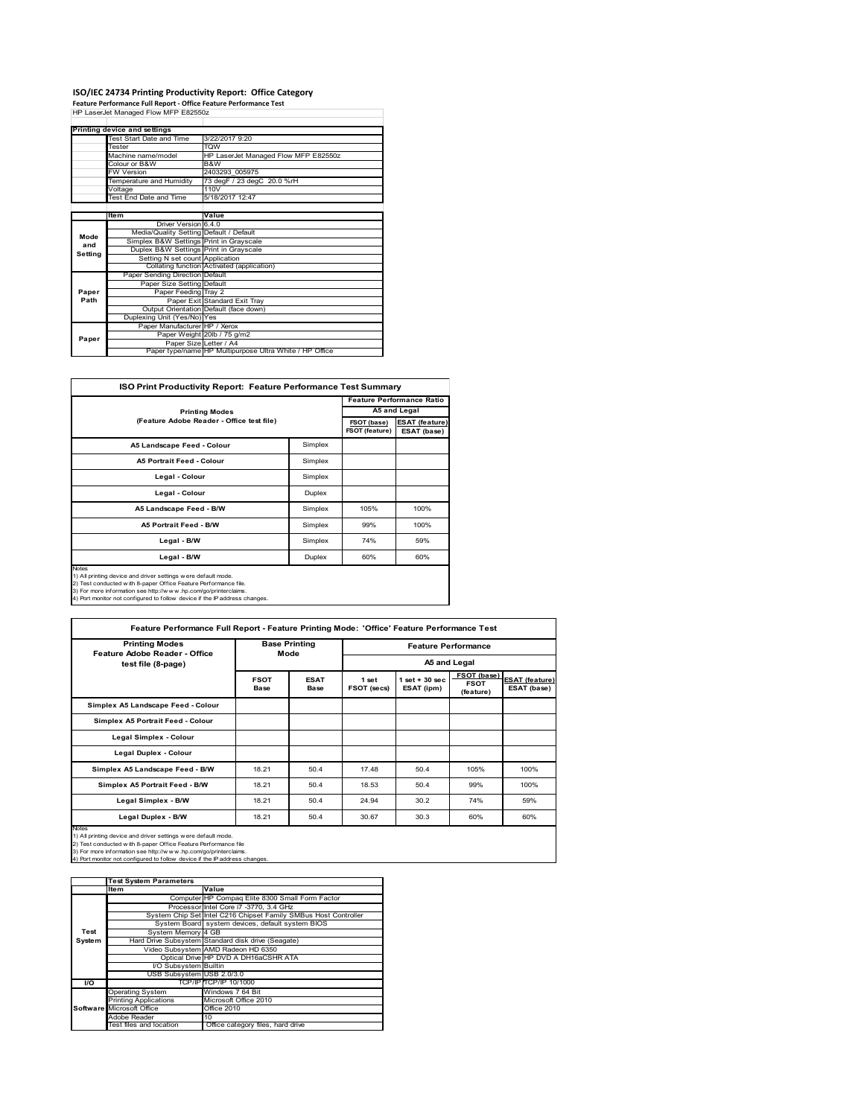# **ISO/IEC 24734 Printing Productivity Report: Office Category Feature Performance Full Report ‐ Office Feature Performance Test** HP LaserJet Managed Flow MFP E82550z

|         | Printing device and settings            |                                                         |  |  |
|---------|-----------------------------------------|---------------------------------------------------------|--|--|
|         | Test Start Date and Time                | 3/22/2017 9:20                                          |  |  |
|         | Tester                                  | <b>TQW</b>                                              |  |  |
|         | Machine name/model                      | HP LaserJet Managed Flow MFP E82550z                    |  |  |
|         | Colour or B&W                           | B&W                                                     |  |  |
|         | <b>FW Version</b>                       | 2403293 005975                                          |  |  |
|         | Temperature and Humidity                | 73 degF / 23 degC 20.0 %rH                              |  |  |
|         | Voltage                                 | 110V                                                    |  |  |
|         | Test End Date and Time                  | 5/18/2017 12:47                                         |  |  |
|         |                                         |                                                         |  |  |
|         | Item                                    | Value                                                   |  |  |
|         | Driver Version 6.4.0                    |                                                         |  |  |
| Mode    | Media/Quality Setting Default / Default |                                                         |  |  |
| and     | Simplex B&W Settings Print in Grayscale |                                                         |  |  |
| Setting | Duplex B&W Settings Print in Grayscale  |                                                         |  |  |
|         | Setting N set count Application         |                                                         |  |  |
|         |                                         | Collating function Activated (application)              |  |  |
|         | Paper Sending Direction Default         |                                                         |  |  |
|         | Paper Size Setting Default              |                                                         |  |  |
| Paper   | Paper Feeding Tray 2                    |                                                         |  |  |
| Path    |                                         | Paper Exit Standard Exit Tray                           |  |  |
|         |                                         | Output Orientation Default (face down)                  |  |  |
|         | Duplexing Unit (Yes/No) Yes             |                                                         |  |  |
|         | Paper Manufacturer HP / Xerox           |                                                         |  |  |
| Paper   |                                         | Paper Weight 20lb / 75 g/m2                             |  |  |
|         |                                         | Paper Size Letter / A4                                  |  |  |
|         |                                         | Paper type/name HP Multipurpose Ultra White / HP Office |  |  |

| <b>ISO Print Productivity Report: Feature Performance Test Summary</b>                                                                                                                                                                                                                        |                               |                                      |                                  |  |  |  |
|-----------------------------------------------------------------------------------------------------------------------------------------------------------------------------------------------------------------------------------------------------------------------------------------------|-------------------------------|--------------------------------------|----------------------------------|--|--|--|
|                                                                                                                                                                                                                                                                                               |                               |                                      | <b>Feature Performance Ratio</b> |  |  |  |
| <b>Printing Modes</b>                                                                                                                                                                                                                                                                         |                               |                                      | A5 and Legal                     |  |  |  |
| (Feature Adobe Reader - Office test file)                                                                                                                                                                                                                                                     | FSOT (base)<br>FSOT (feature) | <b>ESAT (feature)</b><br>ESAT (base) |                                  |  |  |  |
| A5 Landscape Feed - Colour                                                                                                                                                                                                                                                                    | Simplex                       |                                      |                                  |  |  |  |
| <b>A5 Portrait Feed - Colour</b>                                                                                                                                                                                                                                                              | Simplex                       |                                      |                                  |  |  |  |
| Legal - Colour                                                                                                                                                                                                                                                                                | Simplex                       |                                      |                                  |  |  |  |
| Legal - Colour                                                                                                                                                                                                                                                                                | Duplex                        |                                      |                                  |  |  |  |
| A5 Landscape Feed - B/W                                                                                                                                                                                                                                                                       | Simplex                       | 105%                                 | 100%                             |  |  |  |
| <b>A5 Portrait Feed - B/W</b>                                                                                                                                                                                                                                                                 | Simplex                       | 99%                                  | 100%                             |  |  |  |
| Legal - B/W                                                                                                                                                                                                                                                                                   | Simplex                       | 74%                                  | 59%                              |  |  |  |
| Legal - B/W                                                                                                                                                                                                                                                                                   | Duplex                        | 60%                                  | 60%                              |  |  |  |
| Notes<br>1) All printing device and driver settings were default mode.<br>2) Test conducted with 8-paper Office Feature Performance file.<br>3) For more information see http://w w w .hp.com/go/printerclaims.<br>4) Port monitor not configured to follow device if the IP address changes. |                               |                                      |                                  |  |  |  |

| <b>Printing Modes</b><br>Feature Adobe Reader - Office                                                                                                                                                                                                                                           |                            | <b>Base Printing</b><br>Mode |                      | <b>Feature Performance</b>     |                                         |                                      |  |
|--------------------------------------------------------------------------------------------------------------------------------------------------------------------------------------------------------------------------------------------------------------------------------------------------|----------------------------|------------------------------|----------------------|--------------------------------|-----------------------------------------|--------------------------------------|--|
| test file (8-page)                                                                                                                                                                                                                                                                               |                            |                              |                      |                                | A5 and Legal                            |                                      |  |
|                                                                                                                                                                                                                                                                                                  | <b>FSOT</b><br><b>Base</b> | <b>ESAT</b><br><b>Base</b>   | 1 set<br>FSOT (secs) | $1$ set + 30 sec<br>ESAT (ipm) | FSOT (base)<br><b>FSOT</b><br>(feature) | <b>ESAT</b> (feature)<br>ESAT (base) |  |
| Simplex A5 Landscape Feed - Colour                                                                                                                                                                                                                                                               |                            |                              |                      |                                |                                         |                                      |  |
| Simplex A5 Portrait Feed - Colour                                                                                                                                                                                                                                                                |                            |                              |                      |                                |                                         |                                      |  |
| Legal Simplex - Colour                                                                                                                                                                                                                                                                           |                            |                              |                      |                                |                                         |                                      |  |
| Legal Duplex - Colour                                                                                                                                                                                                                                                                            |                            |                              |                      |                                |                                         |                                      |  |
| Simplex A5 Landscape Feed - B/W                                                                                                                                                                                                                                                                  | 18.21                      | 50.4                         | 17.48                | 50.4                           | 105%                                    | 100%                                 |  |
| Simplex A5 Portrait Feed - B/W                                                                                                                                                                                                                                                                   | 18.21                      | 50.4                         | 18.53                | 50.4                           | 99%                                     | 100%                                 |  |
| Legal Simplex - B/W                                                                                                                                                                                                                                                                              | 18.21                      | 50.4                         | 24.94                | 30.2                           | 74%                                     | 59%                                  |  |
| Legal Duplex - B/W                                                                                                                                                                                                                                                                               | 18.21                      | 50.4                         | 30.67                | 30.3                           | 60%                                     | 60%                                  |  |
| <b>Notes</b><br>1) All printing device and driver settings were default mode.<br>2) Test conducted with 8-paper Office Feature Performance file<br>3) For more information see http://www.hp.com/go/printerclaims.<br>4) Port monitor not configured to follow device if the IP address changes. |                            |                              |                      |                                |                                         |                                      |  |

|                  | <b>Test System Parameters</b> |                                                                 |  |  |  |
|------------------|-------------------------------|-----------------------------------------------------------------|--|--|--|
|                  | <b>Item</b>                   | Value                                                           |  |  |  |
|                  |                               | Computer HP Compaq Elite 8300 Small Form Factor                 |  |  |  |
|                  |                               | Processor Intel Core i7 -3770, 3.4 GHz                          |  |  |  |
|                  |                               | System Chip Set Intel C216 Chipset Family SMBus Host Controller |  |  |  |
|                  |                               | System Board system devices, default system BIOS                |  |  |  |
| Test             | System Memory 4 GB            |                                                                 |  |  |  |
| System           |                               | Hard Drive Subsystem Standard disk drive (Seagate)              |  |  |  |
|                  |                               | Video Subsystem AMD Radeon HD 6350                              |  |  |  |
|                  |                               | Optical Drive HP DVD A DH16aCSHR ATA                            |  |  |  |
|                  | I/O Subsystem Builtin         |                                                                 |  |  |  |
|                  | USB Subsystem USB 2.0/3.0     |                                                                 |  |  |  |
| $\overline{1/O}$ |                               | TCP/IP TCP/IP 10/1000                                           |  |  |  |
|                  | <b>Operating System</b>       | Windows 7 64 Bit                                                |  |  |  |
|                  | <b>Printing Applications</b>  | Microsoft Office 2010                                           |  |  |  |
|                  | Software Microsoft Office     | Office 2010                                                     |  |  |  |
|                  | Adobe Reader                  | 10                                                              |  |  |  |
|                  | Test files and location       | Office category files, hard drive                               |  |  |  |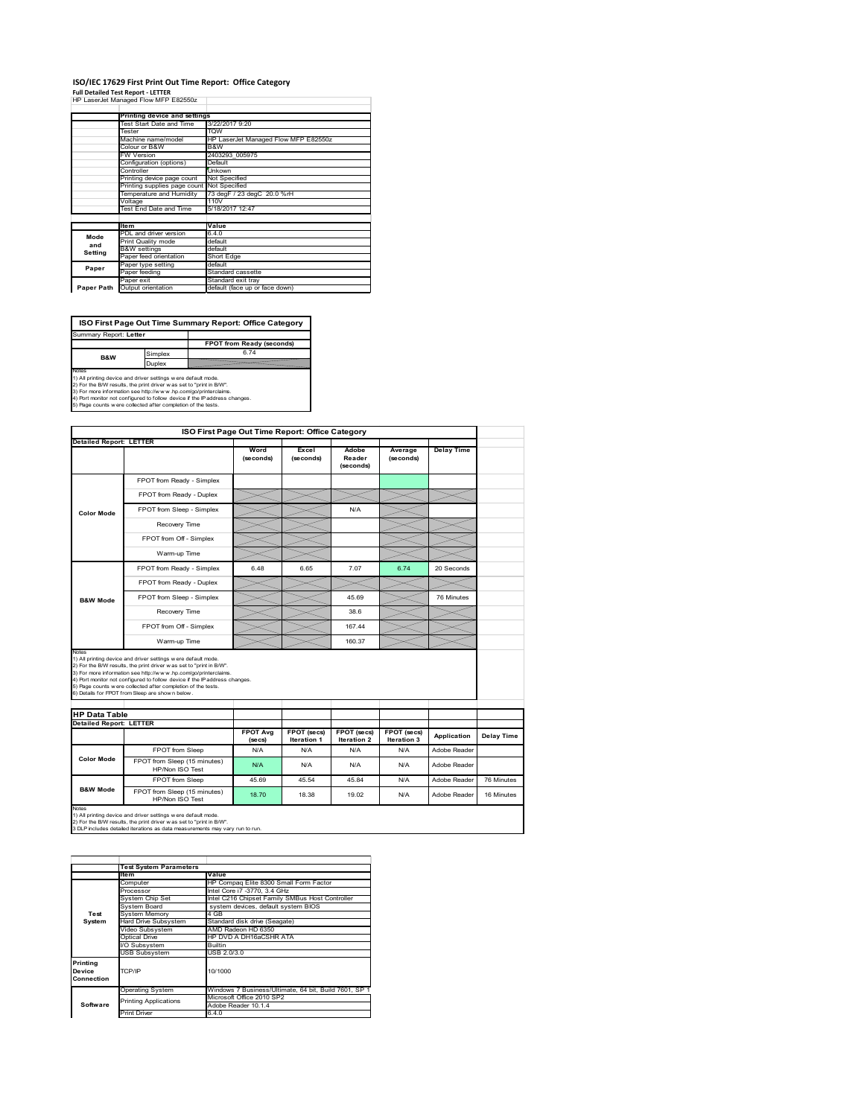#### **ISO/IEC 17629 First Print Out Time Report: Office Category Full Detailed Test Report ‐ LETTER**

| HP LaserJet Managed Flow MFP E82550z |  |  |
|--------------------------------------|--|--|

|            | Printing device and settings |                                      |  |  |  |  |
|------------|------------------------------|--------------------------------------|--|--|--|--|
|            | Test Start Date and Time     | 3/22/2017 9:20                       |  |  |  |  |
|            | Tester                       | <b>TOW</b>                           |  |  |  |  |
|            | Machine name/model           | HP LaserJet Managed Flow MFP E82550z |  |  |  |  |
|            | Colour or B&W                | B&W                                  |  |  |  |  |
|            | FW Version                   | 2403293 005975                       |  |  |  |  |
|            | Configuration (options)      | Default                              |  |  |  |  |
|            | Controller                   | <b>Unkown</b>                        |  |  |  |  |
|            | Printing device page count   | Not Specified                        |  |  |  |  |
|            | Printing supplies page count | Not Specified                        |  |  |  |  |
|            | Temperature and Humidity     | 73 degF / 23 degC 20.0 %rH           |  |  |  |  |
|            | Voltage                      | 110V                                 |  |  |  |  |
|            | Test End Date and Time       | 5/18/2017 12:47                      |  |  |  |  |
|            |                              |                                      |  |  |  |  |
|            | <b>Item</b>                  | Value                                |  |  |  |  |
| Mode       | PDL and driver version       | 6.4.0                                |  |  |  |  |
| and        | Print Quality mode           | default                              |  |  |  |  |
| Setting    | <b>B&amp;W</b> settings      | default                              |  |  |  |  |
|            | Paper feed orientation       | Short Edge                           |  |  |  |  |
| Paper      | Paper type setting           | default                              |  |  |  |  |
|            | Paper feeding                | Standard cassette                    |  |  |  |  |
|            | Paper exit                   | Standard exit tray                   |  |  |  |  |
| Paper Path | Output orientation           | default (face up or face down)       |  |  |  |  |

ń

**FPOT from Ready (seconds)**<br>
Simplex 6.74 **ISO First Page Out Time Summary Report: Office Category** ort: Letter

**B&W**

**Duplex**<br>Notes<br>1) All printing device and driver settings were default mode.<br>2) For the BM results, the print driver was set to "print in BM".<br>4) For more information see http://www.hp.com/golprinterclaims.<br>4) Port monitor

| ISO First Page Out Time Report: Office Category                                                                                                                                                                                                                                                                                                                                                                      |                                                                                                                                                                                                   |                            |                            |                              |                            |                   |                   |
|----------------------------------------------------------------------------------------------------------------------------------------------------------------------------------------------------------------------------------------------------------------------------------------------------------------------------------------------------------------------------------------------------------------------|---------------------------------------------------------------------------------------------------------------------------------------------------------------------------------------------------|----------------------------|----------------------------|------------------------------|----------------------------|-------------------|-------------------|
| <b>Detailed Report: LETTER</b>                                                                                                                                                                                                                                                                                                                                                                                       |                                                                                                                                                                                                   | Word<br>(seconds)          | Excel<br>(seconds)         | Adobe<br>Reader<br>(seconds) | Average<br>(seconds)       | <b>Delay Time</b> |                   |
|                                                                                                                                                                                                                                                                                                                                                                                                                      | FPOT from Ready - Simplex                                                                                                                                                                         |                            |                            |                              |                            |                   |                   |
|                                                                                                                                                                                                                                                                                                                                                                                                                      | FPOT from Ready - Duplex                                                                                                                                                                          |                            |                            |                              |                            |                   |                   |
| Color Mode                                                                                                                                                                                                                                                                                                                                                                                                           | FPOT from Sleep - Simplex                                                                                                                                                                         |                            |                            | N/A                          |                            |                   |                   |
|                                                                                                                                                                                                                                                                                                                                                                                                                      | Recovery Time                                                                                                                                                                                     |                            |                            |                              |                            |                   |                   |
|                                                                                                                                                                                                                                                                                                                                                                                                                      | FPOT from Off - Simplex                                                                                                                                                                           |                            |                            |                              |                            |                   |                   |
|                                                                                                                                                                                                                                                                                                                                                                                                                      | Warm-up Time                                                                                                                                                                                      |                            |                            |                              |                            |                   |                   |
|                                                                                                                                                                                                                                                                                                                                                                                                                      | FPOT from Ready - Simplex                                                                                                                                                                         | 6.48                       | 6.65                       | 7.07                         | 6.74                       | 20 Seconds        |                   |
|                                                                                                                                                                                                                                                                                                                                                                                                                      | FPOT from Ready - Duplex                                                                                                                                                                          |                            |                            |                              |                            |                   |                   |
| <b>B&amp;W Mode</b>                                                                                                                                                                                                                                                                                                                                                                                                  | FPOT from Sleep - Simplex                                                                                                                                                                         |                            |                            | 45.69                        |                            | 76 Minutes        |                   |
|                                                                                                                                                                                                                                                                                                                                                                                                                      | Recovery Time                                                                                                                                                                                     |                            |                            | 38.6                         |                            |                   |                   |
|                                                                                                                                                                                                                                                                                                                                                                                                                      | FPOT from Off - Simplex                                                                                                                                                                           |                            |                            | 167.44                       |                            |                   |                   |
|                                                                                                                                                                                                                                                                                                                                                                                                                      | Warm-up Time                                                                                                                                                                                      |                            |                            | 160.37                       |                            |                   |                   |
| Notes<br>1) All printing device and driver settings w ere default mode.<br>2) For the B/W results, the print driver was set to "print in B/W".<br>3) For more information see http://www.hp.com/go/printerclaims.<br>4) Port monitor not configured to follow device if the IP address changes.<br>5) Page counts w ere collected after completion of the tests.<br>6) Details for FPOT from Sleep are show n below. |                                                                                                                                                                                                   |                            |                            |                              |                            |                   |                   |
| <b>HP Data Table</b>                                                                                                                                                                                                                                                                                                                                                                                                 |                                                                                                                                                                                                   |                            |                            |                              |                            |                   |                   |
| <b>Detailed Report: LETTER</b>                                                                                                                                                                                                                                                                                                                                                                                       |                                                                                                                                                                                                   |                            |                            |                              |                            |                   |                   |
|                                                                                                                                                                                                                                                                                                                                                                                                                      |                                                                                                                                                                                                   | <b>FPOT Avg</b><br>(se cs) | FPOT (secs)<br>Iteration 1 | FPOT (secs)<br>Iteration 2   | FPOT (secs)<br>Iteration 3 | Application       | <b>Delay Time</b> |
|                                                                                                                                                                                                                                                                                                                                                                                                                      | FPOT from Sleep                                                                                                                                                                                   | N/A                        | N/A                        | N/A                          | N/A                        | Adobe Reader      |                   |
| <b>Color Mode</b>                                                                                                                                                                                                                                                                                                                                                                                                    | FPOT from Sleep (15 minutes)<br>HP/Non ISO Test                                                                                                                                                   | N/A                        | N/A                        | N/A                          | N/A                        | Adobe Reader      |                   |
|                                                                                                                                                                                                                                                                                                                                                                                                                      | FPOT from Sleep                                                                                                                                                                                   | 45.69                      | 45.54                      | 45.84                        | N/A                        | Adobe Reader      | 76 Minutes        |
| <b>B&amp;W Mode</b>                                                                                                                                                                                                                                                                                                                                                                                                  | FPOT from Sleep (15 minutes)<br>HP/Non ISO Test                                                                                                                                                   | 18.70                      | 18.38                      | 19.02                        | N/A                        | Adobe Reader      | 16 Minutes        |
| Notes                                                                                                                                                                                                                                                                                                                                                                                                                | 1) All printing device and driver settings w ere default mode.<br>2) For the B/W results, the print driver w as set to "print in B/W".<br>9 PLD includes detailed iterations as data accessorated |                            |                            |                              |                            |                   |                   |

1) All printing device and driver settings w ere default mode.<br>2) For the B/W results, the print driver w as set to "print in B/W".<br>3 DLP includes detailed iterations as data measurements may vary run to run.

|            | <b>Test System Parameters</b> |                                                       |  |  |  |
|------------|-------------------------------|-------------------------------------------------------|--|--|--|
|            | <b>Item</b>                   | Value                                                 |  |  |  |
|            | Computer                      | HP Compaq Elite 8300 Small Form Factor                |  |  |  |
|            | Processor                     | Intel Core i7 -3770, 3.4 GHz                          |  |  |  |
|            | System Chip Set               | Intel C216 Chipset Family SMBus Host Controller       |  |  |  |
|            | System Board                  | system devices, default system BIOS                   |  |  |  |
| Test       | <b>System Memory</b>          | 4 GB                                                  |  |  |  |
| System     | <b>Hard Drive Subsystem</b>   | Standard disk drive (Seagate)                         |  |  |  |
|            | Video Subsystem               | AMD Radeon HD 6350                                    |  |  |  |
|            | Optical Drive                 | HP DVD A DH16aCSHR ATA                                |  |  |  |
|            | I/O Subsystem                 | <b>Builtin</b>                                        |  |  |  |
|            | <b>USB Subsystem</b>          | USB 2.0/3.0                                           |  |  |  |
| Printing   |                               |                                                       |  |  |  |
| Device     | TCP/IP                        | 10/1000                                               |  |  |  |
| Connection |                               |                                                       |  |  |  |
|            | <b>Operating System</b>       | Windows 7 Business/Ultimate, 64 bit, Build 7601, SP 1 |  |  |  |
|            | <b>Printing Applications</b>  | Microsoft Office 2010 SP2                             |  |  |  |
| Software   |                               | Adobe Reader 10.1.4                                   |  |  |  |
|            | Print Driver                  | 6.4.0                                                 |  |  |  |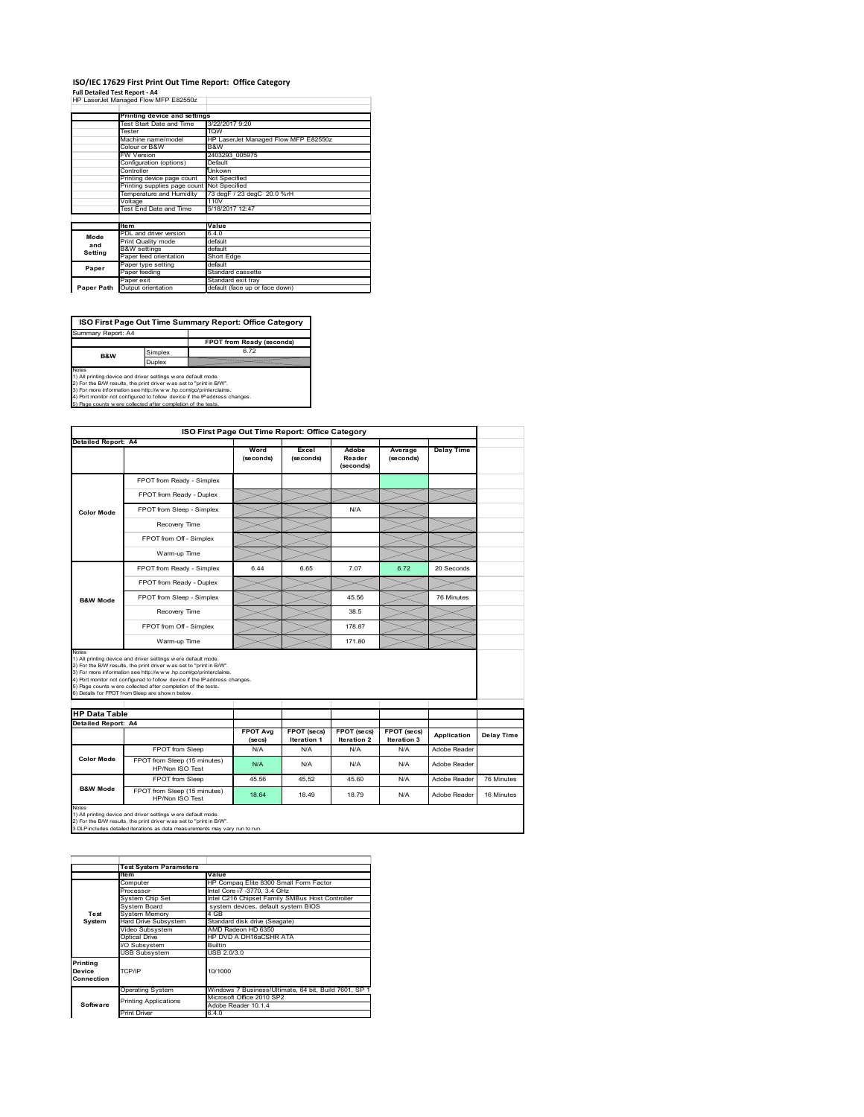## **ISO/IEC 17629 First Print Out Time Report: Office Category**

**Full Detailed Test Report ‐ A4** HP LaserJet Managed Flow MFP E82550z

|            | Printing device and settings |                                      |
|------------|------------------------------|--------------------------------------|
|            | Test Start Date and Time     | 3/22/2017 9:20                       |
|            | Tester                       | <b>TOW</b>                           |
|            | Machine name/model           | HP LaserJet Managed Flow MFP E82550z |
|            | Colour or B&W                | B&W                                  |
|            | <b>FW Version</b>            | 2403293 005975                       |
|            | Configuration (options)      | Default                              |
|            | Controller                   | Unkown                               |
|            | Printing device page count   | Not Specified                        |
|            | Printing supplies page count | Not Specified                        |
|            | Temperature and Humidity     | 73 degF / 23 degC 20.0 %rH           |
|            | Voltage                      | 110V                                 |
|            | Test End Date and Time       | 5/18/2017 12:47                      |
|            |                              |                                      |
|            | <b>Item</b>                  | Value                                |
| Mode       | PDL and driver version       | 6.4.0                                |
| and        | Print Quality mode           | default                              |
| Setting    | <b>B&amp;W</b> settings      | default                              |
|            | Paper feed orientation       | Short Edge                           |
| Paper      | Paper type setting           | default                              |
|            | Paper feeding                | Standard cassette                    |
|            | Paper exit                   | Standard exit tray                   |
| Paper Path | Output orientation           | default (face up or face down)       |

٦

**ISO First Page Out Time Summary Report: Office Category**

**FPOT from Ready (seconds)** Simplex 6.72 Duplex Notes<br>1) All printing device and driver settings were default mode.<br>2) For the BAV results, the print driver was set to "print in BAV".<br>3) For more information see http://www.hp.com/golprinterclaims.<br>4) Port monitor not co Summary Report: A4 **B&W**

|                                                      |                                                                                                                                                                                                                                                                                                                                                                                                             |                            | ISO First Page Out Time Report: Office Category |                                   |                            |                   |            |
|------------------------------------------------------|-------------------------------------------------------------------------------------------------------------------------------------------------------------------------------------------------------------------------------------------------------------------------------------------------------------------------------------------------------------------------------------------------------------|----------------------------|-------------------------------------------------|-----------------------------------|----------------------------|-------------------|------------|
| <b>Detailed Report: A4</b>                           |                                                                                                                                                                                                                                                                                                                                                                                                             |                            |                                                 |                                   |                            |                   |            |
|                                                      |                                                                                                                                                                                                                                                                                                                                                                                                             | Word<br>(seconds)          | Excel<br>(seconds)                              | Adobe<br>Reader<br>(seconds)      | Average<br>(seconds)       | <b>Delay Time</b> |            |
|                                                      | FPOT from Ready - Simplex                                                                                                                                                                                                                                                                                                                                                                                   |                            |                                                 |                                   |                            |                   |            |
|                                                      | FPOT from Ready - Duplex                                                                                                                                                                                                                                                                                                                                                                                    |                            |                                                 |                                   |                            |                   |            |
| Color Mode                                           | FPOT from Sleep - Simplex                                                                                                                                                                                                                                                                                                                                                                                   |                            |                                                 | N/A                               |                            |                   |            |
|                                                      | Recovery Time                                                                                                                                                                                                                                                                                                                                                                                               |                            |                                                 |                                   |                            |                   |            |
|                                                      | FPOT from Off - Simplex                                                                                                                                                                                                                                                                                                                                                                                     |                            |                                                 |                                   |                            |                   |            |
|                                                      | Warm-up Time                                                                                                                                                                                                                                                                                                                                                                                                |                            |                                                 |                                   |                            |                   |            |
|                                                      | FPOT from Ready - Simplex                                                                                                                                                                                                                                                                                                                                                                                   | 6.44                       | 6.65                                            | 7.07                              | 6.72                       | 20 Seconds        |            |
|                                                      | FPOT from Ready - Duplex                                                                                                                                                                                                                                                                                                                                                                                    |                            |                                                 |                                   |                            |                   |            |
| <b>B&amp;W Mode</b>                                  | FPOT from Sleep - Simplex                                                                                                                                                                                                                                                                                                                                                                                   |                            |                                                 | 45.56                             |                            | 76 Minutes        |            |
|                                                      | Recovery Time                                                                                                                                                                                                                                                                                                                                                                                               |                            |                                                 | 38.5                              |                            |                   |            |
|                                                      |                                                                                                                                                                                                                                                                                                                                                                                                             |                            |                                                 |                                   |                            |                   |            |
|                                                      | FPOT from Off - Simplex                                                                                                                                                                                                                                                                                                                                                                                     |                            |                                                 | 178.87                            |                            |                   |            |
|                                                      | Warm-up Time                                                                                                                                                                                                                                                                                                                                                                                                |                            |                                                 | 171.80                            |                            |                   |            |
| Notes<br><b>HP Data Table</b><br>Detailed Report: A4 | 1) All printing device and driver settings w ere default mode.<br>2) For the B/W results, the print driver was set to "print in B/W".<br>3) For more information see http://www.hp.com/go/printerclaims.<br>4) Port monitor not configured to follow device if the IP address changes.<br>5) Page counts w ere collected after completion of the tests.<br>6) Details for FPOT from Sleep are show n below. |                            |                                                 |                                   |                            |                   |            |
|                                                      |                                                                                                                                                                                                                                                                                                                                                                                                             | <b>FPOT Avg</b><br>(se cs) | FPOT (secs)<br><b>Iteration 1</b>               | FPOT (secs)<br><b>Iteration 2</b> | FPOT (secs)<br>Iteration 3 | Application       |            |
|                                                      | FPOT from Sleep                                                                                                                                                                                                                                                                                                                                                                                             | N/A                        | N/A                                             | N/A                               | N/A                        | Adobe Reader      | Delay Time |
| <b>Color Mode</b>                                    | FPOT from Sleep (15 minutes)<br>HP/Non ISO Test                                                                                                                                                                                                                                                                                                                                                             | N/A                        | N/A                                             | N/A                               | N/A                        | Adobe Reader      |            |
| <b>B&amp;W Mode</b>                                  | FPOT from Sleep                                                                                                                                                                                                                                                                                                                                                                                             | 45.56                      | 45.52                                           | 45.60                             | N/A                        | Adobe Reader      | 76 Minutes |

|                                  | <b>Test System Parameters</b>           |                                                       |  |  |
|----------------------------------|-----------------------------------------|-------------------------------------------------------|--|--|
|                                  | <b>Item</b>                             | Value                                                 |  |  |
|                                  | Computer                                | HP Compag Elite 8300 Small Form Factor                |  |  |
|                                  | Processor                               | Intel Core i7 -3770, 3.4 GHz                          |  |  |
|                                  | System Chip Set                         | Intel C216 Chipset Family SMBus Host Controller       |  |  |
|                                  | System Board                            | system devices, default system BIOS                   |  |  |
| Test                             | <b>System Memory</b>                    | 4 GB                                                  |  |  |
| System                           | Hard Drive Subsystem                    | Standard disk drive (Seagate)                         |  |  |
|                                  | Video Subsvstem<br>AMD Radeon HD 6350   |                                                       |  |  |
|                                  | Optical Drive<br>HP DVD A DH16aCSHR ATA |                                                       |  |  |
|                                  | I/O Subsystem<br><b>Builtin</b>         |                                                       |  |  |
|                                  | <b>USB Subsystem</b>                    | USB 2.0/3.0                                           |  |  |
| Printing<br>Device<br>Connection | TCP/IP                                  | 10/1000                                               |  |  |
|                                  |                                         |                                                       |  |  |
|                                  | <b>Operating System</b>                 | Windows 7 Business/Ultimate, 64 bit, Build 7601, SP 1 |  |  |
|                                  | <b>Printing Applications</b>            | Microsoft Office 2010 SP2                             |  |  |
| Software                         |                                         | Adobe Reader 10.1.4                                   |  |  |
|                                  | <b>Print Driver</b>                     | 6.4.0                                                 |  |  |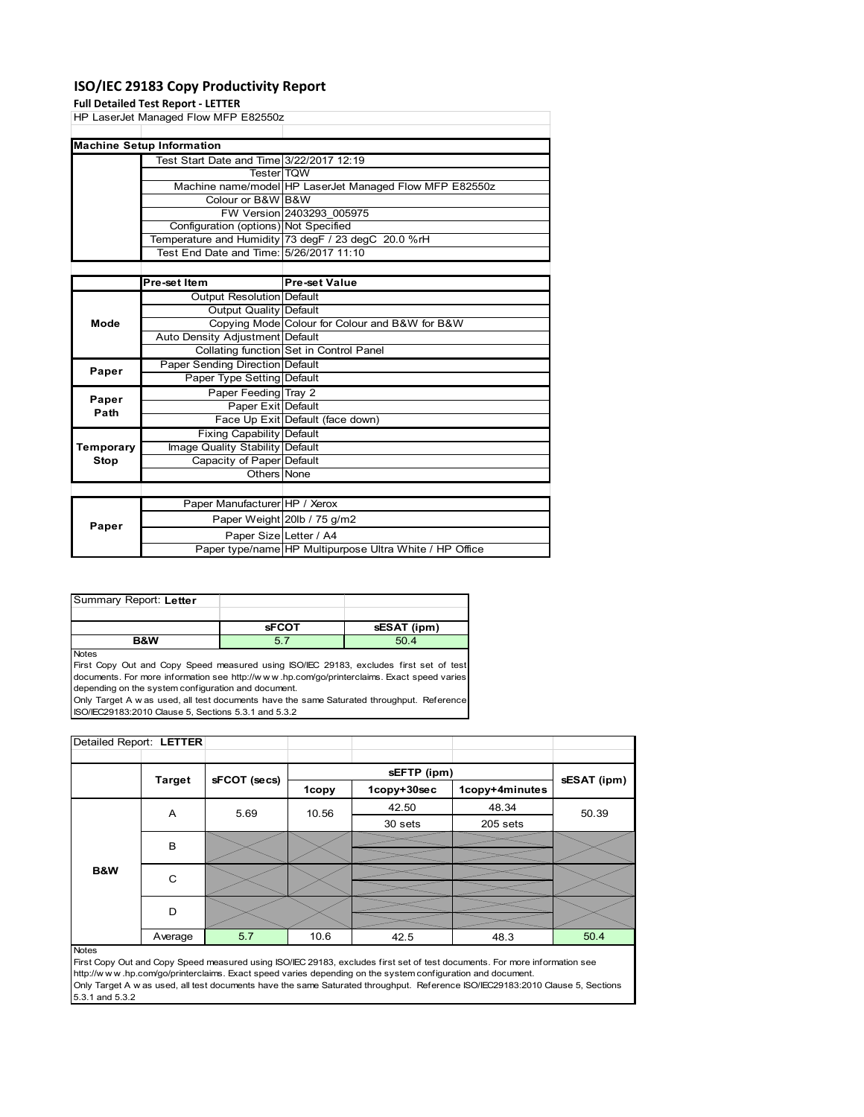### **ISO/IEC 29183 Copy Productivity Report**

### **Full Detailed Test R**

|               | Full Detailed Test Report - LETTER             |                                                         |
|---------------|------------------------------------------------|---------------------------------------------------------|
|               | HP LaserJet Managed Flow MFP E82550z           |                                                         |
|               |                                                |                                                         |
|               | <b>Machine Setup Information</b>               |                                                         |
|               | Test Start Date and Time 3/22/2017 12:19       |                                                         |
|               | <b>Tester</b> TOW                              |                                                         |
|               |                                                | Machine name/model HP LaserJet Managed Flow MFP E82550z |
|               | Colour or B&W B&W                              |                                                         |
|               |                                                | FW Version 2403293 005975                               |
|               | Configuration (options) Not Specified          |                                                         |
|               |                                                | Temperature and Humidity 73 degF / 23 degC 20.0 %rH     |
|               | Test End Date and Time: 5/26/2017 11:10        |                                                         |
|               |                                                |                                                         |
|               | Pre-set Item                                   | <b>Pre-set Value</b>                                    |
|               | Output Resolution Default                      |                                                         |
|               | Output Quality Default                         |                                                         |
| Mode          | Copying Mode Colour for Colour and B&W for B&W |                                                         |
|               | Auto Density Adjustment Default                |                                                         |
|               |                                                | Collating function Set in Control Panel                 |
| Paper         | Paper Sending Direction Default                |                                                         |
|               | Paper Type Setting Default                     |                                                         |
|               | Paper Feeding Tray 2                           |                                                         |
| Paper<br>Path | Paper Exit Default                             |                                                         |
|               |                                                | Face Up Exit Default (face down)                        |
|               | <b>Fixing Capability Default</b>               |                                                         |
| Temporary     | Image Quality Stability Default                |                                                         |
| <b>Stop</b>   | Capacity of Paper Default                      |                                                         |
|               | Others None                                    |                                                         |
|               |                                                |                                                         |
|               | Paper Manufacturer HP / Xerox                  |                                                         |
| Paper         |                                                | Paper Weight 20lb / 75 g/m2                             |
|               | Donor $Cizcl$ offer $I A$                      |                                                         |

| ι αρσι | Paper SizelLetter / A4                                  |  |
|--------|---------------------------------------------------------|--|
|        | Paper type/name HP Multipurpose Ultra White / HP Office |  |
|        |                                                         |  |

| Summary Report: Letter |              |             |
|------------------------|--------------|-------------|
|                        |              |             |
|                        |              |             |
|                        | <b>sFCOT</b> | sESAT (ipm) |

**Notes** 

First Copy Out and Copy Speed measured using ISO/IEC 29183, excludes first set of test documents. For more information see http://w w w .hp.com/go/printerclaims. Exact speed varies depending on the system configuration and document.

Only Target A w as used, all test documents have the same Saturated throughput. Reference ISO/IEC29183:2010 Clause 5, Sections 5.3.1 and 5.3.2

| Detailed Report: LETTER |               |              |       |             |                |             |
|-------------------------|---------------|--------------|-------|-------------|----------------|-------------|
|                         |               |              |       |             |                |             |
|                         | <b>Target</b> | sFCOT (secs) |       | sEFTP (ipm) |                | sESAT (ipm) |
|                         |               |              | 1copy | 1copy+30sec | 1copy+4minutes |             |
|                         | A             | 5.69         | 10.56 | 42.50       | 48.34          | 50.39       |
|                         |               |              |       | 30 sets     | 205 sets       |             |
|                         | B             |              |       |             |                |             |
|                         |               |              |       |             |                |             |
| B&W                     | C             |              |       |             |                |             |
|                         |               |              |       |             |                |             |
|                         | D             |              |       |             |                |             |
|                         |               |              |       |             |                |             |
|                         | Average       | 5.7          | 10.6  | 42.5        | 48.3           | 50.4        |

Notes

First Copy Out and Copy Speed measured using ISO/IEC 29183, excludes first set of test documents. For more information see http://w w w .hp.com/go/printerclaims. Exact speed varies depending on the system configuration and document. Only Target A w as used, all test documents have the same Saturated throughput. Reference ISO/IEC29183:2010 Clause 5, Sections 5.3.1 and 5.3.2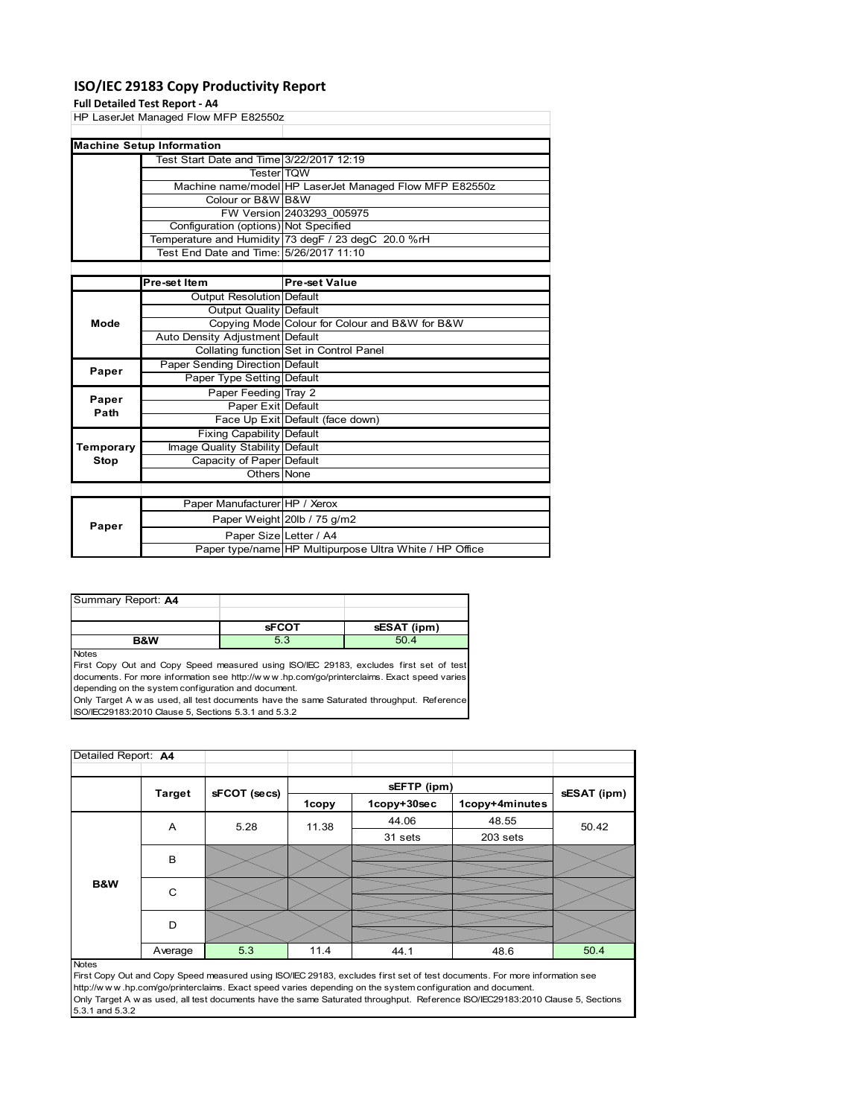### **ISO/IEC 29183 Copy Productivity Report**

### **Full Detailed Test Report ‐ A4**

|             | <b>FUILDELATED TEST NEPULL-A4</b>        |                                                         |
|-------------|------------------------------------------|---------------------------------------------------------|
|             | HP LaserJet Managed Flow MFP E82550z     |                                                         |
|             |                                          |                                                         |
|             | <b>Machine Setup Information</b>         |                                                         |
|             | Test Start Date and Time 3/22/2017 12:19 |                                                         |
|             | <b>Tester</b> TQW                        |                                                         |
|             |                                          | Machine name/model HP LaserJet Managed Flow MFP E82550z |
|             | Colour or B&W B&W                        |                                                         |
|             |                                          | FW Version 2403293 005975                               |
|             | Configuration (options) Not Specified    |                                                         |
|             |                                          | Temperature and Humidity 73 degF / 23 degC 20.0 %rH     |
|             | Test End Date and Time: 5/26/2017 11:10  |                                                         |
|             |                                          |                                                         |
|             | Pre-set Item                             | <b>Pre-set Value</b>                                    |
|             | Output Resolution Default                |                                                         |
|             | Output Quality Default                   |                                                         |
| Mode        |                                          | Copying Mode Colour for Colour and B&W for B&W          |
|             | Auto Density Adjustment Default          |                                                         |
|             |                                          | Collating function Set in Control Panel                 |
| Paper       | Paper Sending Direction Default          |                                                         |
|             | Paper Type Setting Default               |                                                         |
| Paper       | Paper Feeding Tray 2                     |                                                         |
| Path        | Paper Exit Default                       |                                                         |
|             |                                          | Face Up Exit Default (face down)                        |
|             | <b>Fixing Capability Default</b>         |                                                         |
| Temporary   | Image Quality Stability Default          |                                                         |
| <b>Stop</b> | Capacity of Paper Default                |                                                         |
|             | Others None                              |                                                         |
|             |                                          |                                                         |
|             | Paper Manufacturer HP / Xerox            |                                                         |
|             |                                          |                                                         |

| Paper |                        | Paper Weight 20lb / 75 g/m2                             |
|-------|------------------------|---------------------------------------------------------|
|       | Paper Size Letter / A4 |                                                         |
|       |                        | Paper type/name HP Multipurpose Ultra White / HP Office |
|       |                        |                                                         |

| Summary Report: A4 |              |             |
|--------------------|--------------|-------------|
|                    |              |             |
|                    | <b>sFCOT</b> | sESAT (ipm) |
| B&W                | 5.3          | 504         |

Notes

First Copy Out and Copy Speed measured using ISO/IEC 29183, excludes first set of test documents. For more information see http://w w w .hp.com/go/printerclaims. Exact speed varies depending on the system configuration and document.

Only Target A w as used, all test documents have the same Saturated throughput. Reference ISO/IEC29183:2010 Clause 5, Sections 5.3.1 and 5.3.2

| Detailed Report: A4 |               |              |       |             |                |             |
|---------------------|---------------|--------------|-------|-------------|----------------|-------------|
|                     |               |              |       | sEFTP (ipm) |                |             |
|                     | <b>Target</b> | sFCOT (secs) | 1copy | 1copy+30sec | 1copy+4minutes | sESAT (ipm) |
|                     | A             | 5.28         | 11.38 | 44.06       | 48.55          | 50.42       |
|                     |               |              |       | 31 sets     | 203 sets       |             |
|                     | B             |              |       |             |                |             |
| B&W                 | C             |              |       |             |                |             |
|                     | D             |              |       |             |                |             |
|                     | Average       | 5.3          | 11.4  | 44.1        | 48.6           | 50.4        |
| <b>Notes</b>        |               |              |       |             |                |             |

First Copy Out and Copy Speed measured using ISO/IEC 29183, excludes first set of test documents. For more information see http://w w w .hp.com/go/printerclaims. Exact speed varies depending on the system configuration and document. Only Target A w as used, all test documents have the same Saturated throughput. Reference ISO/IEC29183:2010 Clause 5, Sections 5.3.1 and 5.3.2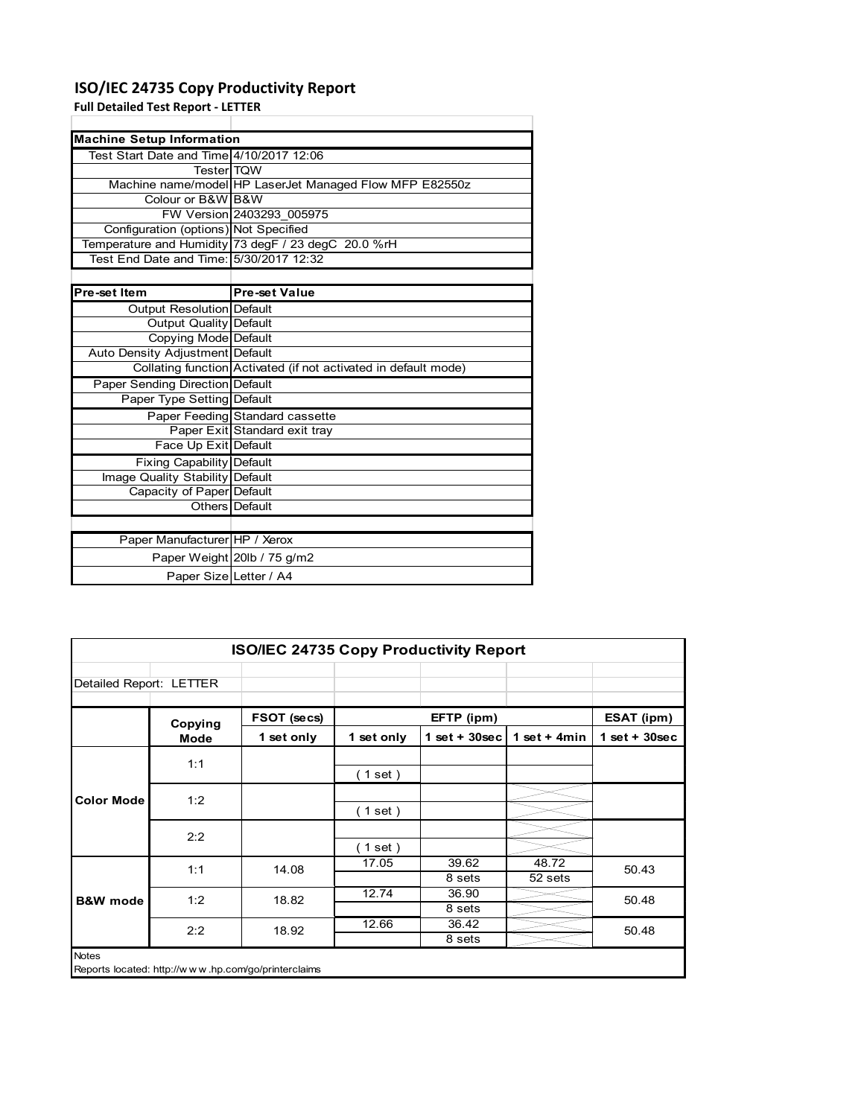## **ISO/IEC 24735 Copy Productivity Report**

**Full Detailed Test Report ‐ LETTER**

| <b>Machine Setup Information</b>           |                                                                 |
|--------------------------------------------|-----------------------------------------------------------------|
| Test Start Date and Time 4/10/2017 12:06   |                                                                 |
| <b>Tester</b> TQW                          |                                                                 |
|                                            | Machine name/model HP LaserJet Managed Flow MFP E82550z         |
| Colour or B&W B&W                          |                                                                 |
|                                            | FW Version 2403293 005975                                       |
| Configuration (options) Not Specified      |                                                                 |
|                                            | Temperature and Humidity 73 degF / 23 degC 20.0 %rH             |
| Test    End Date and Time: 5/30/2017 12:32 |                                                                 |
|                                            |                                                                 |
| Pre-set Item                               | <b>Pre-set Value</b>                                            |
| Output Resolution Default                  |                                                                 |
| <b>Output Quality Default</b>              |                                                                 |
| Copying Mode Default                       |                                                                 |
| Auto Density Adjustment Default            |                                                                 |
|                                            | Collating function Activated (if not activated in default mode) |
| Paper Sending Direction Default            |                                                                 |
| Paper Type Setting Default                 |                                                                 |
|                                            | Paper Feeding Standard cassette                                 |
|                                            | Paper Exit Standard exit tray                                   |
| Face Up Exit Default                       |                                                                 |
| <b>Fixing Capability Default</b>           |                                                                 |
| Image Quality Stability Default            |                                                                 |
| Capacity of Paper Default                  |                                                                 |
|                                            | Others   Default                                                |
|                                            |                                                                 |

| Paper Manufacturer HP / Xerox |                             |
|-------------------------------|-----------------------------|
|                               | Paper Weight 20lb / 75 g/m2 |
| Paper SizelLetter / A4        |                             |

| <b>ISO/IEC 24735 Copy Productivity Report</b> |         |                                                     |            |                  |                  |                 |  |
|-----------------------------------------------|---------|-----------------------------------------------------|------------|------------------|------------------|-----------------|--|
| Detailed Report: LETTER                       |         |                                                     |            |                  |                  |                 |  |
|                                               | Copying | FSOT (secs)                                         |            | EFTP (ipm)       |                  | ESAT (ipm)      |  |
|                                               | Mode    | 1 set only                                          | 1 set only | 1 set + $30$ sec | 1 set $+$ 4min   | $1$ set + 30sec |  |
|                                               | 1:1     |                                                     | (1 set)    |                  |                  |                 |  |
| <b>Color Mode</b>                             | 1:2     |                                                     | (1 set)    |                  |                  |                 |  |
|                                               | 2:2     |                                                     | (1 set)    |                  |                  |                 |  |
|                                               | 1:1     | 14.08                                               | 17.05      | 39.62<br>8 sets  | 48.72<br>52 sets | 50.43           |  |
| <b>B&amp;W</b> mode                           | 1:2     | 18.82                                               | 12.74      | 36.90<br>8 sets  |                  | 50.48           |  |
|                                               | 2:2     | 18.92                                               | 12.66      | 36.42<br>8 sets  |                  | 50.48           |  |
| <b>Notes</b>                                  |         | Reports located: http://www.hp.com/go/printerclaims |            |                  |                  |                 |  |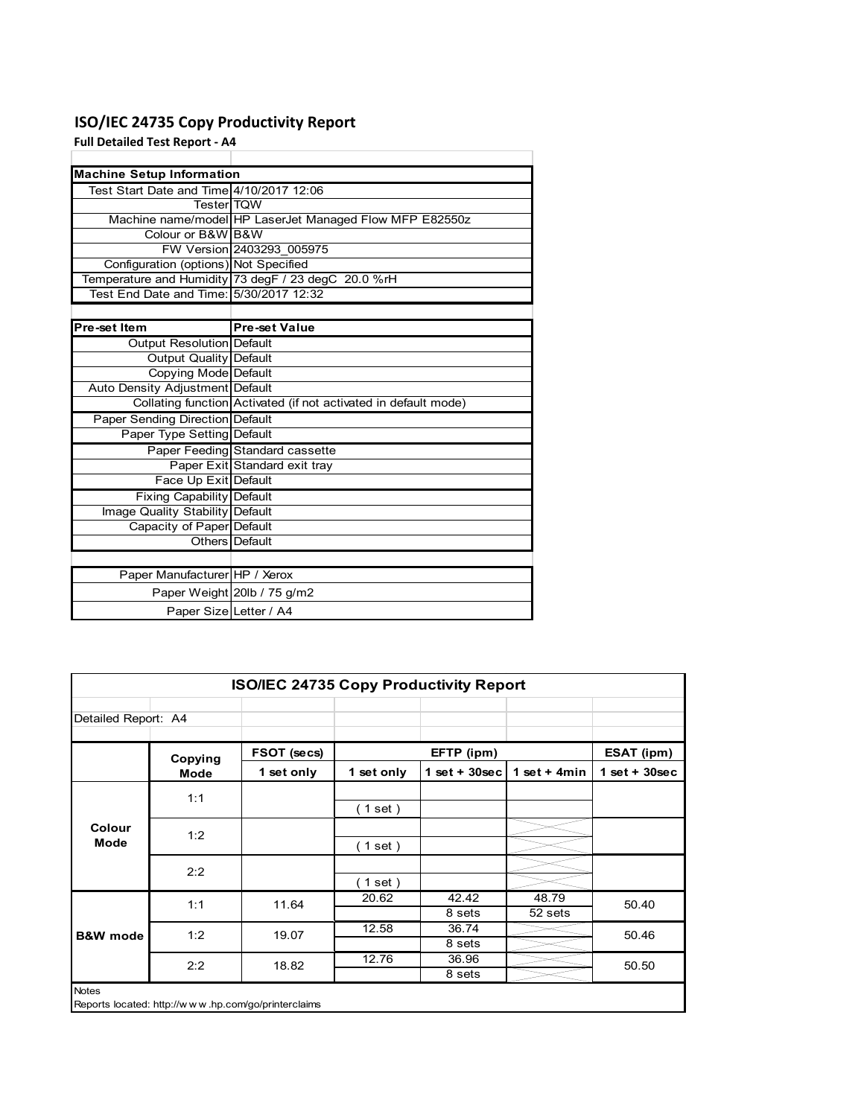## **ISO/IEC 24735 Copy Productivity Report**

**Full Detailed Test Report ‐ A4**

| <b>Machine Setup Information</b>         |                                                                 |
|------------------------------------------|-----------------------------------------------------------------|
| Test Start Date and Time 4/10/2017 12:06 |                                                                 |
| <b>TesterITOW</b>                        |                                                                 |
|                                          | Machine name/model HP LaserJet Managed Flow MFP E82550z         |
| Colour or B&W B&W                        |                                                                 |
|                                          | FW Version 2403293 005975                                       |
| Configuration (options) Not Specified    |                                                                 |
|                                          | Temperature and Humidity 73 degF / 23 degC 20.0 %rH             |
| Test End Date and Time: 5/30/2017 12:32  |                                                                 |
|                                          |                                                                 |
| Pre-set Item                             | <b>Pre-set Value</b>                                            |
| Output Resolution Default                |                                                                 |
| <b>Output Quality Default</b>            |                                                                 |
| Copying Mode Default                     |                                                                 |
| Auto Density Adjustment Default          |                                                                 |
|                                          | Collating function Activated (if not activated in default mode) |
| Paper Sending Direction Default          |                                                                 |
| Paper Type Setting Default               |                                                                 |
|                                          | Paper Feeding Standard cassette                                 |
|                                          | Paper Exit Standard exit tray                                   |
| Face Up Exit Default                     |                                                                 |
| <b>Fixing Capability Default</b>         |                                                                 |
| Image Quality Stability Default          |                                                                 |
| Capacity of Paper Default                |                                                                 |
|                                          | Others Default                                                  |
|                                          |                                                                 |
| Paper Manufacturer HP / Xerox            |                                                                 |
|                                          | Paper Weight 20lb / 75 g/m2                                     |
| Paper Size Letter / A4                   |                                                                 |

| <b>ISO/IEC 24735 Copy Productivity Report</b> |             |                                                     |            |                  |                  |                 |  |
|-----------------------------------------------|-------------|-----------------------------------------------------|------------|------------------|------------------|-----------------|--|
| Detailed Report: A4                           |             |                                                     |            |                  |                  |                 |  |
|                                               | Copying     | FSOT (secs)                                         |            | EFTP (ipm)       |                  | ESAT (ipm)      |  |
|                                               | <b>Mode</b> | 1 set only                                          | 1 set only | 1 set + $30$ sec | 1 set + $4min$   | $1$ set + 30sec |  |
|                                               | 1:1         |                                                     | (1 set)    |                  |                  |                 |  |
| Colour<br>Mode                                | 1:2         |                                                     | (1 set)    |                  |                  |                 |  |
|                                               | 2:2         |                                                     | (1 set)    |                  |                  |                 |  |
|                                               | 1:1         | 11.64                                               | 20.62      | 42.42<br>8 sets  | 48.79<br>52 sets | 50.40           |  |
| <b>B&amp;W</b> mode                           | 1:2         | 19.07                                               | 12.58      | 36.74<br>8 sets  |                  | 50.46           |  |
|                                               | 2:2         | 18.82                                               | 12.76      | 36.96<br>8 sets  |                  | 50.50           |  |
| <b>Notes</b>                                  |             | Reports located: http://www.hp.com/go/printerclaims |            |                  |                  |                 |  |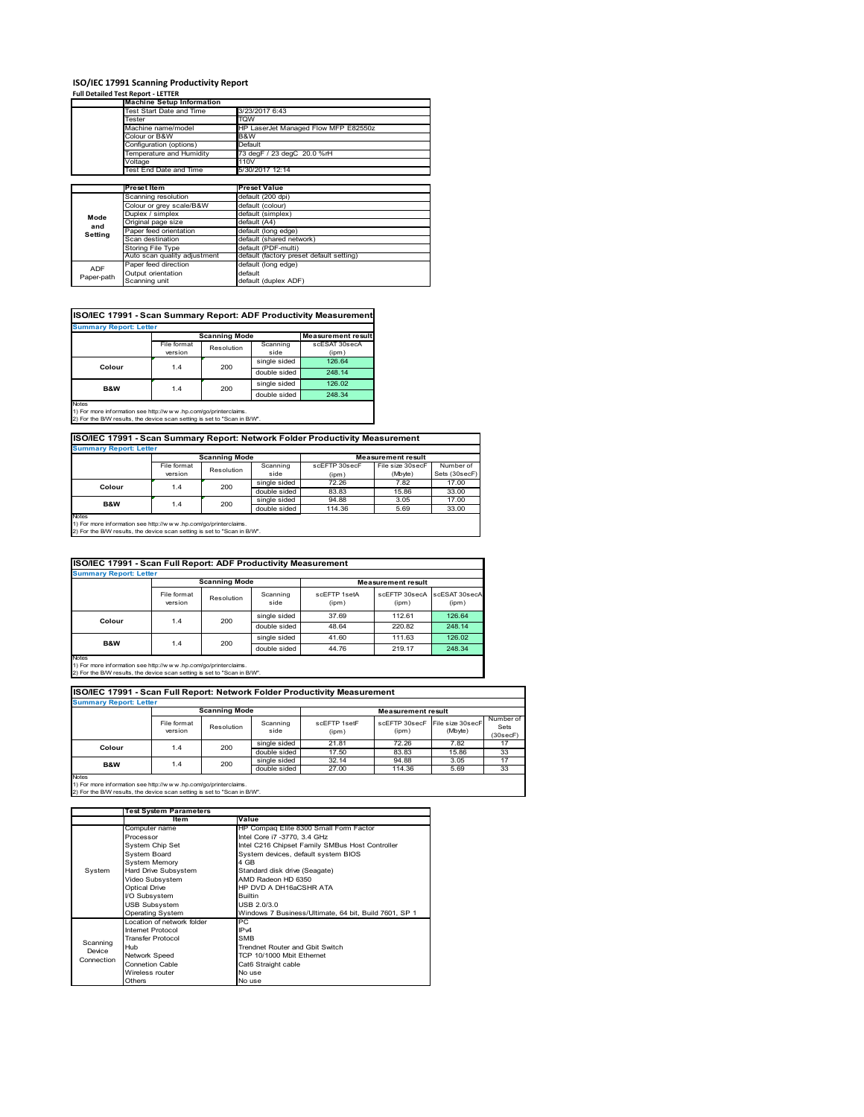## **ISO/IEC 17991 Scanning Productivity Report Full Detailed Test Report ‐ LETTER**

|            | <b>Machine Setup Information</b> |                                          |  |  |  |  |
|------------|----------------------------------|------------------------------------------|--|--|--|--|
|            | Test Start Date and Time         | 3/23/2017 6:43                           |  |  |  |  |
|            | Tester                           | TQW                                      |  |  |  |  |
|            | Machine name/model               | HP LaserJet Managed Flow MFP E82550z     |  |  |  |  |
|            | Colour or B&W                    | B&W                                      |  |  |  |  |
|            | Configuration (options)          | Default                                  |  |  |  |  |
|            | Temperature and Humidity         | 73 degF / 23 degC 20.0 %rH               |  |  |  |  |
|            | Voltage                          | 110V                                     |  |  |  |  |
|            | Test End Date and Time           | 5/30/2017 12:14                          |  |  |  |  |
|            |                                  |                                          |  |  |  |  |
|            | Preset Item                      | <b>Preset Value</b>                      |  |  |  |  |
|            | Scanning resolution              | default (200 dpi)                        |  |  |  |  |
|            | Colour or grey scale/B&W         | default (colour)                         |  |  |  |  |
| Mode       | Duplex / simplex                 | default (simplex)                        |  |  |  |  |
| and        | Original page size               | default (A4)                             |  |  |  |  |
| Setting    | Paper feed orientation           | default (long edge)                      |  |  |  |  |
|            | Scan destination                 | default (shared network)                 |  |  |  |  |
|            | <b>Storing File Type</b>         | default (PDF-multi)                      |  |  |  |  |
|            | Auto scan quality adjustment     | default (factory preset default setting) |  |  |  |  |
|            | Paper feed direction             | default (long edge)                      |  |  |  |  |
| <b>ADF</b> |                                  |                                          |  |  |  |  |
| Paper-path | Output orientation               | default                                  |  |  |  |  |

| <b>Summary Report: Letter</b> |             |                      |              |                           |
|-------------------------------|-------------|----------------------|--------------|---------------------------|
|                               |             | <b>Scanning Mode</b> |              | <b>Measurement result</b> |
|                               | File format | Resolution           | Scanning     | scESAT 30secA             |
|                               | version     |                      | side         | (ipm)                     |
| Colour                        | 1.4         | 200                  | single sided | 126.64                    |
|                               |             |                      | double sided | 248.14                    |
| <b>B&amp;W</b>                | 1.4         | 200                  | single sided | 126.02                    |
|                               |             |                      | double sided | 248.34                    |
| <b>Notes</b>                  |             |                      |              |                           |

**ISO/IEC 17991 - Scan Summary Report: Network Folder Productivity Measurement**

| <b>Summary Report: Letter</b> |                      |            |              |                           |                  |               |  |
|-------------------------------|----------------------|------------|--------------|---------------------------|------------------|---------------|--|
|                               | <b>Scanning Mode</b> |            |              | <b>Measurement result</b> |                  |               |  |
|                               | File format          | Resolution | Scanning     | scEFTP 30secF             | File size 30secF | Number of     |  |
|                               | version              |            | side         | (ipm)                     | (Mbyte)          | Sets (30secF) |  |
| Colour                        | 1.4                  | 200        | single sided | 72.26                     | 7.82             | 17.00         |  |
|                               |                      |            | double sided | 83.83                     | 15.86            | 33.00         |  |
| <b>B&amp;W</b>                | 1.4                  | 200        | single sided | 94.88                     | 3.05             | 17.00         |  |
|                               |                      |            | double sided | 114.36                    | 5.69             | 33.00         |  |
| Notes                         |                      |            |              |                           |                  |               |  |

┓

 $\overline{\phantom{a}}$ 

Notes 1) For more information see http://w w w .hp.com/go/printerclaims. 2) For the B/W results, the device scan setting is set to "Scan in B/W".

| ISO/IEC 17991 - Scan Full Report: ADF Productivity Measurement |                                                   |            |                  |                       |                        |                        |  |  |
|----------------------------------------------------------------|---------------------------------------------------|------------|------------------|-----------------------|------------------------|------------------------|--|--|
|                                                                | <b>Summary Report: Letter</b>                     |            |                  |                       |                        |                        |  |  |
|                                                                | <b>Scanning Mode</b><br><b>Measurement result</b> |            |                  |                       |                        |                        |  |  |
|                                                                | File format<br>version                            | Resolution | Scanning<br>side | scFFTP 1setA<br>(ipm) | scEETP 30secA<br>(ipm) | scESAT 30secA<br>(ipm) |  |  |
| Colour                                                         |                                                   | 200        | single sided     | 37.69                 | 112.61                 | 126.64                 |  |  |
|                                                                | 1.4                                               |            | double sided     | 48.64                 | 220.82                 | 248.14                 |  |  |
|                                                                |                                                   | 200        | single sided     | 41.60                 | 111.63                 | 126.02                 |  |  |
| <b>B&amp;W</b>                                                 | 1.4                                               |            | double sided     | 44.76                 | 219.17                 | 248.34                 |  |  |
| <b>Notes</b>                                                   |                                                   |            |                  |                       |                        |                        |  |  |

Notes 1) For more information see http://w w w .hp.com/go/printerclaims. 2) For the B/W results, the device scan setting is set to "Scan in B/W".

| ISO/IEC 17991 - Scan Full Report: Network Folder Productivity Measurement |                        |            |                  |                       |                                         |         |                               |  |
|---------------------------------------------------------------------------|------------------------|------------|------------------|-----------------------|-----------------------------------------|---------|-------------------------------|--|
| <b>Summary Report: Letter</b>                                             |                        |            |                  |                       |                                         |         |                               |  |
| <b>Scanning Mode</b><br><b>Measurement result</b>                         |                        |            |                  |                       |                                         |         |                               |  |
|                                                                           | File format<br>version | Resolution | Scanning<br>side | scEETP 1setE<br>(ipm) | scEFTP 30secF File size 30secF<br>(ipm) | (Mbyte) | Number of<br>Sets<br>(30secF) |  |
| Colour                                                                    | 1.4                    | 200        | single sided     | 21.81                 | 72.26                                   | 7.82    | 17                            |  |
|                                                                           |                        |            | double sided     | 17.50                 | 83.83                                   | 15.86   | 33                            |  |
| <b>B&amp;W</b>                                                            | 1.4                    | 200        | single sided     | 32.14                 | 94.88                                   | 3.05    | 17                            |  |
|                                                                           |                        |            | double sided     | 27.00                 | 114.36                                  | 5.69    | 33                            |  |
| <b>Notes</b>                                                              |                        |            |                  |                       |                                         |         |                               |  |

|            | <b>Test System Parameters</b> |                                                       |  |  |
|------------|-------------------------------|-------------------------------------------------------|--|--|
|            | Item                          | Value                                                 |  |  |
|            | Computer name                 | HP Compaq Elite 8300 Small Form Factor                |  |  |
|            | Processor                     | Intel Core i7 -3770, 3.4 GHz                          |  |  |
|            | System Chip Set               | Intel C216 Chipset Family SMBus Host Controller       |  |  |
|            | <b>System Board</b>           | System devices, default system BIOS                   |  |  |
|            | <b>System Memory</b>          | 4 GB                                                  |  |  |
| System     | Hard Drive Subsystem          | Standard disk drive (Seagate)                         |  |  |
|            | Video Subsystem               | AMD Radeon HD 6350                                    |  |  |
|            | <b>Optical Drive</b>          | HP DVD A DH16aCSHR ATA                                |  |  |
|            | I/O Subsystem                 | <b>Builtin</b>                                        |  |  |
|            | <b>USB Subsystem</b>          | USB 2.0/3.0                                           |  |  |
|            | <b>Operating System</b>       | Windows 7 Business/Ultimate, 64 bit, Build 7601, SP 1 |  |  |
|            | I ocation of network folder   | PC.                                                   |  |  |
|            | Internet Protocol             | IP <sub>v4</sub>                                      |  |  |
| Scanning   | <b>Transfer Protocol</b>      | <b>SMB</b>                                            |  |  |
| Device     | Hub                           | Trendnet Router and Gbit Switch                       |  |  |
| Connection | Network Speed                 | TCP 10/1000 Mbit Ethernet                             |  |  |
|            | <b>Connetion Cable</b>        | Cat6 Straight cable                                   |  |  |
|            | Wireless router               | No use                                                |  |  |
|            | Others                        | No use                                                |  |  |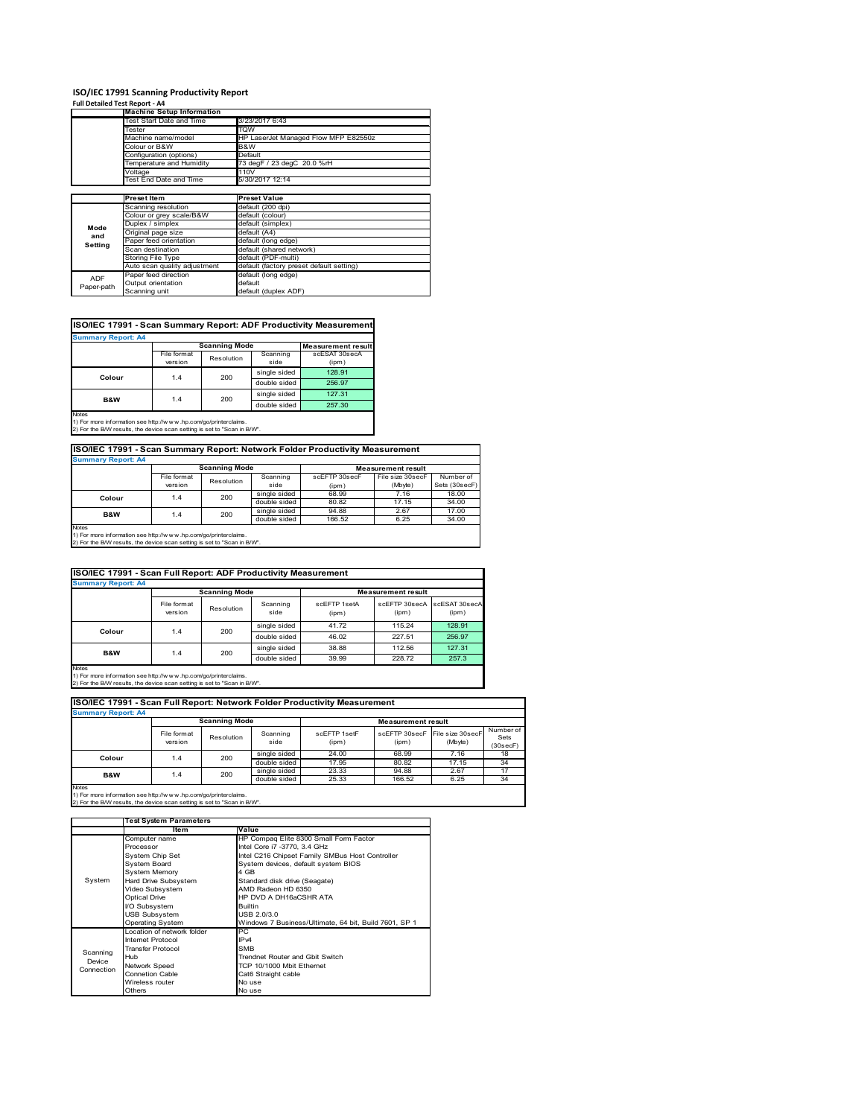#### **ISO/IEC 17991 Scanning Productivity Report**

| Full Detailed Test Report - A4 |                                  |                                          |
|--------------------------------|----------------------------------|------------------------------------------|
|                                | <b>Machine Setup Information</b> |                                          |
|                                | Test Start Date and Time         | 3/23/2017 6:43                           |
|                                | Tester                           | TQW                                      |
|                                | Machine name/model               | HP LaserJet Managed Flow MFP E82550z     |
|                                | Colour or B&W                    | B&W                                      |
|                                | Configuration (options)          | Default                                  |
|                                | Temperature and Humidity         | 73 degF / 23 degC 20.0 %rH               |
|                                | Voltage                          | 110V                                     |
|                                | Test End Date and Time           | 5/30/2017 12:14                          |
|                                |                                  |                                          |
|                                | <b>Preset Item</b>               | <b>Preset Value</b>                      |
|                                | Scanning resolution              | default (200 dpi)                        |
|                                | Colour or grey scale/B&W         | default (colour)                         |
| Mode                           | Duplex / simplex                 | default (simplex)                        |
| and                            | Original page size               | default (A4)                             |
| Setting                        | Paper feed orientation           | default (long edge)                      |
|                                | Scan destination                 | default (shared network)                 |
|                                | Storing File Type                | default (PDF-multi)                      |
|                                | Auto scan quality adjustment     | default (factory preset default setting) |
| ADF                            | Paper feed direction             | default (long edge)                      |
| Paper-path                     | Output orientation               | default                                  |
|                                | Scanning unit                    | default (duplex ADF)                     |

#### **ISO/IEC 17991 - Scan Summary Report: ADF Productivity Measurement**

| <b>Summary Report: A4</b> |                           |                      |              |                           |  |  |  |  |
|---------------------------|---------------------------|----------------------|--------------|---------------------------|--|--|--|--|
|                           |                           | <b>Scanning Mode</b> |              | <b>Measurement result</b> |  |  |  |  |
|                           | File format<br>Resolution |                      | Scanning     | scESAT 30secA             |  |  |  |  |
|                           | version                   |                      | side         | (ipm)                     |  |  |  |  |
| Colour                    | 1.4                       | 200                  | single sided | 128.91                    |  |  |  |  |
|                           |                           |                      | double sided | 256.97                    |  |  |  |  |
| <b>B&amp;W</b>            | 1.4                       | 200                  | single sided | 127.31                    |  |  |  |  |
|                           |                           |                      | double sided | 257.30                    |  |  |  |  |
| <b>Notes</b>              |                           |                      |              |                           |  |  |  |  |

1) For more information see http://w w w .hp.com/go/printerclaims. 2) For the B/W results, the device scan setting is set to "Scan in B/W".

## **ISO/IEC 17991 - Scan Summary Report: Network Folder Productivity Measurement Summary Report: A4**

| <b>BUILDIARY INCLUIL AT</b> |                      |            |              |                           |                  |               |  |
|-----------------------------|----------------------|------------|--------------|---------------------------|------------------|---------------|--|
|                             | <b>Scanning Mode</b> |            |              | <b>Measurement result</b> |                  |               |  |
|                             | File format          | Resolution | Scanning     | scEFTP 30secF             | File size 30secF | Number of     |  |
|                             | version              |            | side         | (ipm)                     | (Mbyte)          | Sets (30secF) |  |
| Colour                      | 1.4                  | 200        | single sided | 68.99                     | 7.16             | 18.00         |  |
|                             |                      |            | double sided | 80.82                     | 17.15            | 34.00         |  |
| B&W                         | 1.4                  | 200        | single sided | 94.88                     | 2.67             | 17.00         |  |
|                             |                      |            | double sided | 166.52                    | 6.25             | 34.00         |  |
| <b>Notes</b>                |                      |            |              |                           |                  |               |  |

Notes 1) For more information see http://w w w .hp.com/go/printerclaims. 2) For the B/W results, the device scan setting is set to "Scan in B/W".

| ISO/IEC 17991 - Scan Full Report: ADF Productivity Measurement |                        |                      |                  |                       |                           |                        |  |  |
|----------------------------------------------------------------|------------------------|----------------------|------------------|-----------------------|---------------------------|------------------------|--|--|
| <b>Summary Report: A4</b>                                      |                        |                      |                  |                       |                           |                        |  |  |
|                                                                |                        | <b>Scanning Mode</b> |                  |                       | <b>Measurement result</b> |                        |  |  |
|                                                                | File format<br>version | Resolution           | Scanning<br>side | scEFTP 1setA<br>(ipm) | scEFTP 30secA<br>(ipm)    | scESAT 30secA<br>(ipm) |  |  |
| Colour                                                         | 200<br>1.4             |                      | single sided     | 41.72                 | 115.24                    | 128.91                 |  |  |
|                                                                |                        |                      | double sided     | 46.02                 | 227.51                    | 256.97                 |  |  |
| B&W                                                            |                        | 200                  | single sided     | 38.88                 | 112.56                    | 127.31                 |  |  |
|                                                                | 1.4                    |                      | double sided     | 39.99                 | 228.72                    | 257.3                  |  |  |
| Notes                                                          |                        |                      |                  |                       |                           |                        |  |  |

Notes 1) For more information see http://w w w .hp.com/go/printerclaims. 2) For the B/W results, the device scan setting is set to "Scan in B/W".

| ISO/IEC 17991 - Scan Full Report: Network Folder Productivity Measurement |                        |                      |                  |                       |                           |                                           |                               |  |
|---------------------------------------------------------------------------|------------------------|----------------------|------------------|-----------------------|---------------------------|-------------------------------------------|-------------------------------|--|
| <b>Summary Report: A4</b>                                                 |                        |                      |                  |                       |                           |                                           |                               |  |
|                                                                           |                        | <b>Scanning Mode</b> |                  |                       | <b>Measurement result</b> |                                           |                               |  |
|                                                                           | File format<br>version | Resolution           | Scanning<br>side | scFFTP 1setF<br>(ipm) | (ipm)                     | scEFTP 30secF File size 30secF<br>(Mbyte) | Number of<br>Sets<br>(30secF) |  |
| Colour                                                                    | 1.4                    | 200                  | single sided     | 24.00                 | 68.99                     | 7.16                                      | 18                            |  |
|                                                                           |                        |                      | double sided     | 17.95                 | 80.82                     | 17.15                                     | 34                            |  |
| <b>B&amp;W</b>                                                            | 1.4                    | 200                  | single sided     | 23.33                 | 94.88                     | 2.67                                      | 17                            |  |
|                                                                           |                        |                      | double sided     | 25.33                 | 166.52                    | 6.25                                      | 34                            |  |
| <b>Notes</b>                                                              |                        |                      |                  |                       |                           |                                           |                               |  |

|            | <b>Test System Parameters</b> |                                                       |  |  |
|------------|-------------------------------|-------------------------------------------------------|--|--|
|            | ltem                          | Value                                                 |  |  |
|            | Computer name                 | HP Compaq Elite 8300 Small Form Factor                |  |  |
|            | Processor                     | Intel Core i7 -3770, 3.4 GHz                          |  |  |
|            | System Chip Set               | Intel C216 Chipset Family SMBus Host Controller       |  |  |
|            | System Board                  | System devices, default system BIOS                   |  |  |
|            | <b>System Memory</b>          | 4 GB                                                  |  |  |
| System     | Hard Drive Subsystem          | Standard disk drive (Seagate)                         |  |  |
|            | Video Subsystem               | AMD Radeon HD 6350                                    |  |  |
|            | <b>Optical Drive</b>          | HP DVD A DH16aCSHR ATA                                |  |  |
|            | I/O Subsystem                 | <b>Builtin</b>                                        |  |  |
|            | <b>USB Subsystem</b>          | USB 2.0/3.0                                           |  |  |
|            | <b>Operating System</b>       | Windows 7 Business/Ultimate, 64 bit, Build 7601, SP 1 |  |  |
|            | I ocation of network folder   | РC                                                    |  |  |
|            | <b>Internet Protocol</b>      | IP <sub>v4</sub>                                      |  |  |
| Scanning   | <b>Transfer Protocol</b>      | <b>SMB</b>                                            |  |  |
| Device     | Hub                           | Trendnet Router and Gbit Switch                       |  |  |
| Connection | Network Speed                 | TCP 10/1000 Mbit Ethernet                             |  |  |
|            | <b>Connetion Cable</b>        | Cat6 Straight cable                                   |  |  |
|            | Wireless router               | No use                                                |  |  |
|            | Others                        | No use                                                |  |  |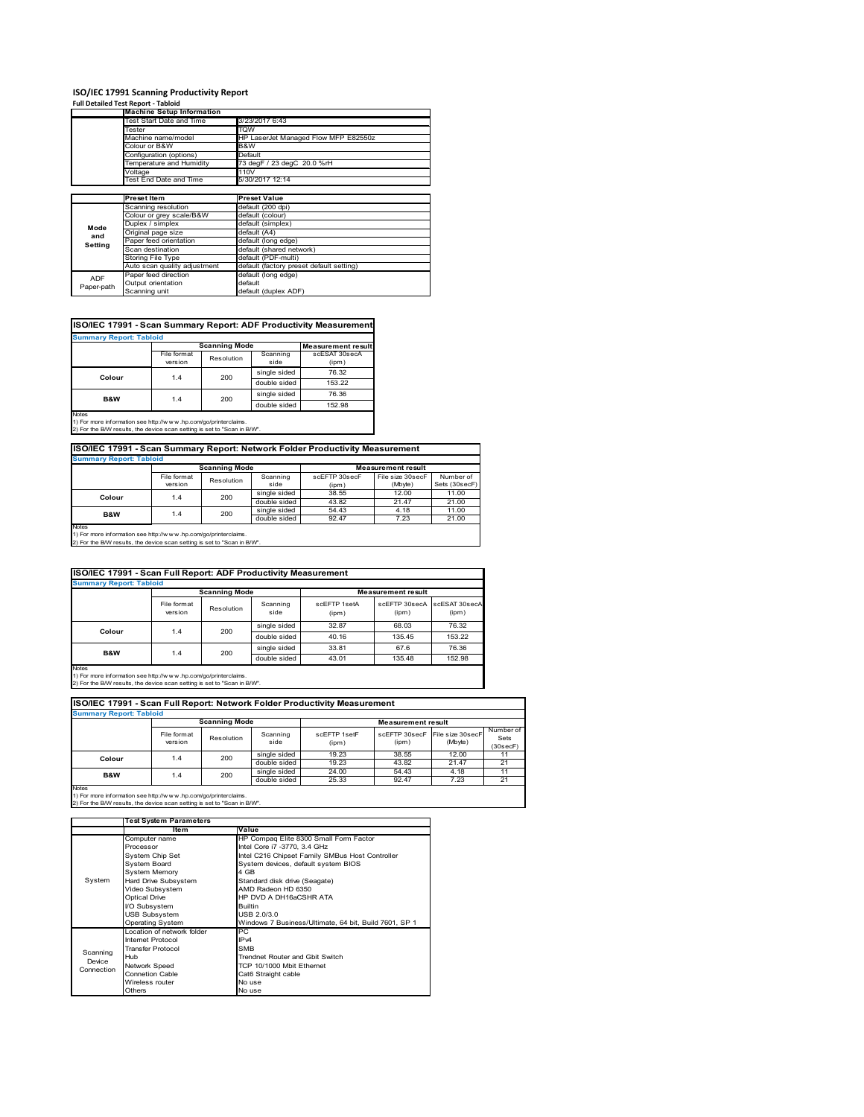#### **ISO/IEC 17991 Scanning Productivity Report**

|            | <b>Full Detailed Test Report - Tabloid</b> |                                          |  |  |  |
|------------|--------------------------------------------|------------------------------------------|--|--|--|
|            | <b>Machine Setup Information</b>           |                                          |  |  |  |
|            | Test Start Date and Time                   | 3/23/2017 6:43                           |  |  |  |
|            | Tester                                     | TQW                                      |  |  |  |
|            | Machine name/model                         | HP LaserJet Managed Flow MFP E82550z     |  |  |  |
|            | Colour or B&W                              | B&W                                      |  |  |  |
|            | Configuration (options)                    | Default                                  |  |  |  |
|            | Temperature and Humidity                   | 73 degF / 23 degC 20.0 %rH               |  |  |  |
|            | Voltage                                    | 110V                                     |  |  |  |
|            | Test End Date and Time                     | 5/30/2017 12:14                          |  |  |  |
|            |                                            |                                          |  |  |  |
|            | <b>Preset Item</b>                         | <b>Preset Value</b>                      |  |  |  |
|            | Scanning resolution                        | default (200 dpi)                        |  |  |  |
|            | Colour or grey scale/B&W                   | default (colour)                         |  |  |  |
| Mode       | Duplex / simplex                           | default (simplex)                        |  |  |  |
| and        | Original page size                         | default (A4)                             |  |  |  |
| Setting    | Paper feed orientation                     | default (long edge)                      |  |  |  |
|            | Scan destination                           | default (shared network)                 |  |  |  |
|            | <b>Storing File Type</b>                   | default (PDF-multi)                      |  |  |  |
|            | Auto scan quality adjustment               | default (factory preset default setting) |  |  |  |
| <b>ADF</b> | Paper feed direction                       | default (long edge)                      |  |  |  |
| Paper-path | Output orientation                         | default                                  |  |  |  |
|            | Scanning unit                              | default (duplex ADF)                     |  |  |  |

#### **ISO/IEC 17991 - Scan Summary Report: ADF Productivity Measurement**

| <b>Summary Report: Tabloid</b> |                        |                           |                  |                        |  |  |
|--------------------------------|------------------------|---------------------------|------------------|------------------------|--|--|
|                                | <b>Scanning Mode</b>   | <b>Measurement result</b> |                  |                        |  |  |
|                                | File format<br>version | Resolution                | Scanning<br>side | scESAT 30secA<br>(ipm) |  |  |
| Colour                         | 1.4                    | 200                       | single sided     | 76.32                  |  |  |
|                                |                        |                           | double sided     | 153.22                 |  |  |
| <b>B&amp;W</b>                 | 1.4                    | 200                       | single sided     | 76.36                  |  |  |
|                                |                        |                           | double sided     | 152.98                 |  |  |
| <b>Notes</b>                   |                        |                           |                  |                        |  |  |

Notes 1) For more information see http://w w w .hp.com/go/printerclaims. 2) For the B/W results, the device scan setting is set to "Scan in B/W".

#### **ISO/IEC 17991 - Scan Summary Report: Network Folder Productivity Measurement**

| <b>Summary Report: Tabloid</b> |                      |            |              |                           |                  |               |
|--------------------------------|----------------------|------------|--------------|---------------------------|------------------|---------------|
|                                | <b>Scanning Mode</b> |            |              | <b>Measurement result</b> |                  |               |
|                                | File format          | Resolution | Scanning     | scEFTP 30secF             | File size 30secF | Number of     |
|                                | version              |            | side         | (ipm)                     | (Mbyte)          | Sets (30secF) |
|                                | Colour<br>1.4        | 200        | single sided | 38.55                     | 12.00            | 11.00         |
|                                |                      |            | double sided | 43.82                     | 21.47            | 21.00         |
| B&W                            | 1.4                  | 200        | single sided | 54.43                     | 4.18             | 11.00         |
|                                |                      |            | double sided | 92.47                     | 7.23             | 21.00         |
| Notes                          |                      |            |              |                           |                  |               |

Notes 1) For more information see http://w w w .hp.com/go/printerclaims. 2) For the B/W results, the device scan setting is set to "Scan in B/W".

| <b>ISO/IEC 17991 - Scan Full Report: ADF Productivity Measurement</b> |                        |                      |                  |                       |                                      |        |  |  |
|-----------------------------------------------------------------------|------------------------|----------------------|------------------|-----------------------|--------------------------------------|--------|--|--|
| <b>Summary Report: Tabloid</b>                                        |                        |                      |                  |                       |                                      |        |  |  |
|                                                                       |                        | <b>Scanning Mode</b> |                  |                       | <b>Measurement result</b>            |        |  |  |
|                                                                       | File format<br>version | Resolution           | Scanning<br>side | scFFTP 1setA<br>(ipm) | scEFTP 30secA scESAT 30secA<br>(ipm) | (ipm)  |  |  |
| Colour                                                                |                        | 200                  | single sided     | 32.87                 | 68.03                                | 76.32  |  |  |
|                                                                       | 1.4                    |                      | double sided     | 40.16                 | 135.45                               | 153.22 |  |  |
| B&W                                                                   |                        | 200                  | single sided     | 33.81                 | 67.6                                 | 76.36  |  |  |
|                                                                       | 1.4                    |                      | double sided     | 43.01                 | 135.48                               | 152.98 |  |  |
| Notes                                                                 |                        |                      |                  |                       |                                      |        |  |  |

Notes 1) For more information see http://w w w .hp.com/go/printerclaims. 2) For the B/W results, the device scan setting is set to "Scan in B/W".

| ISO/IEC 17991 - Scan Full Report: Network Folder Productivity Measurement |                        |                      |                  |                       |                           |                              |                               |  |
|---------------------------------------------------------------------------|------------------------|----------------------|------------------|-----------------------|---------------------------|------------------------------|-------------------------------|--|
| <b>Summary Report: Tabloid</b>                                            |                        |                      |                  |                       |                           |                              |                               |  |
|                                                                           |                        | <b>Scanning Mode</b> |                  |                       | <b>Measurement result</b> |                              |                               |  |
|                                                                           | File format<br>version | Resolution           | Scanning<br>side | scFFTP 1setF<br>(ipm) | scEFTP 30secF<br>(ipm)    | File size 30 secF<br>(Mbyte) | Number of<br>Sets<br>(30secF) |  |
| Colour                                                                    |                        | 200<br>1.4           | single sided     | 19.23                 | 38.55                     | 12.00                        | 11                            |  |
|                                                                           |                        |                      | double sided     | 19.23                 | 43.82                     | 21.47                        | 21                            |  |
| <b>B&amp;W</b>                                                            | 1.4                    | 200                  | single sided     | 24.00                 | 54.43                     | 4.18                         | 11                            |  |
|                                                                           |                        |                      | double sided     | 25.33                 | 92.47                     | 7.23                         | 21                            |  |
| <b>Notes</b>                                                              |                        |                      |                  |                       |                           |                              |                               |  |

|            | <b>Test System Parameters</b> |                                                       |  |  |
|------------|-------------------------------|-------------------------------------------------------|--|--|
|            | ltem                          | Value                                                 |  |  |
|            | Computer name                 | HP Compaq Elite 8300 Small Form Factor                |  |  |
|            | Processor                     | Intel Core i7 -3770, 3.4 GHz                          |  |  |
|            | System Chip Set               | Intel C216 Chipset Family SMBus Host Controller       |  |  |
|            | <b>System Board</b>           | System devices, default system BIOS                   |  |  |
|            | <b>System Memory</b>          | 4 GB                                                  |  |  |
| System     | Hard Drive Subsystem          | Standard disk drive (Seagate)                         |  |  |
|            | Video Subsystem               | AMD Radeon HD 6350                                    |  |  |
|            | <b>Optical Drive</b>          | HP DVD A DH16aCSHR ATA                                |  |  |
|            | I/O Subsystem                 | <b>Builtin</b>                                        |  |  |
|            | <b>USB Subsystem</b>          | USB 2.0/3.0                                           |  |  |
|            | Operating System              | Windows 7 Business/Ultimate, 64 bit, Build 7601, SP 1 |  |  |
|            | I ocation of network folder   | РC                                                    |  |  |
|            | <b>Internet Protocol</b>      | IP <sub>v4</sub>                                      |  |  |
| Scanning   | <b>Transfer Protocol</b>      | <b>SMB</b>                                            |  |  |
| Device     | Hub                           | Trendnet Router and Gbit Switch                       |  |  |
| Connection | Network Speed                 | TCP 10/1000 Mbit Ethernet                             |  |  |
|            | <b>Connetion Cable</b>        | Cat6 Straight cable                                   |  |  |
|            | Wireless router               | No use                                                |  |  |
|            | Others                        | No use                                                |  |  |